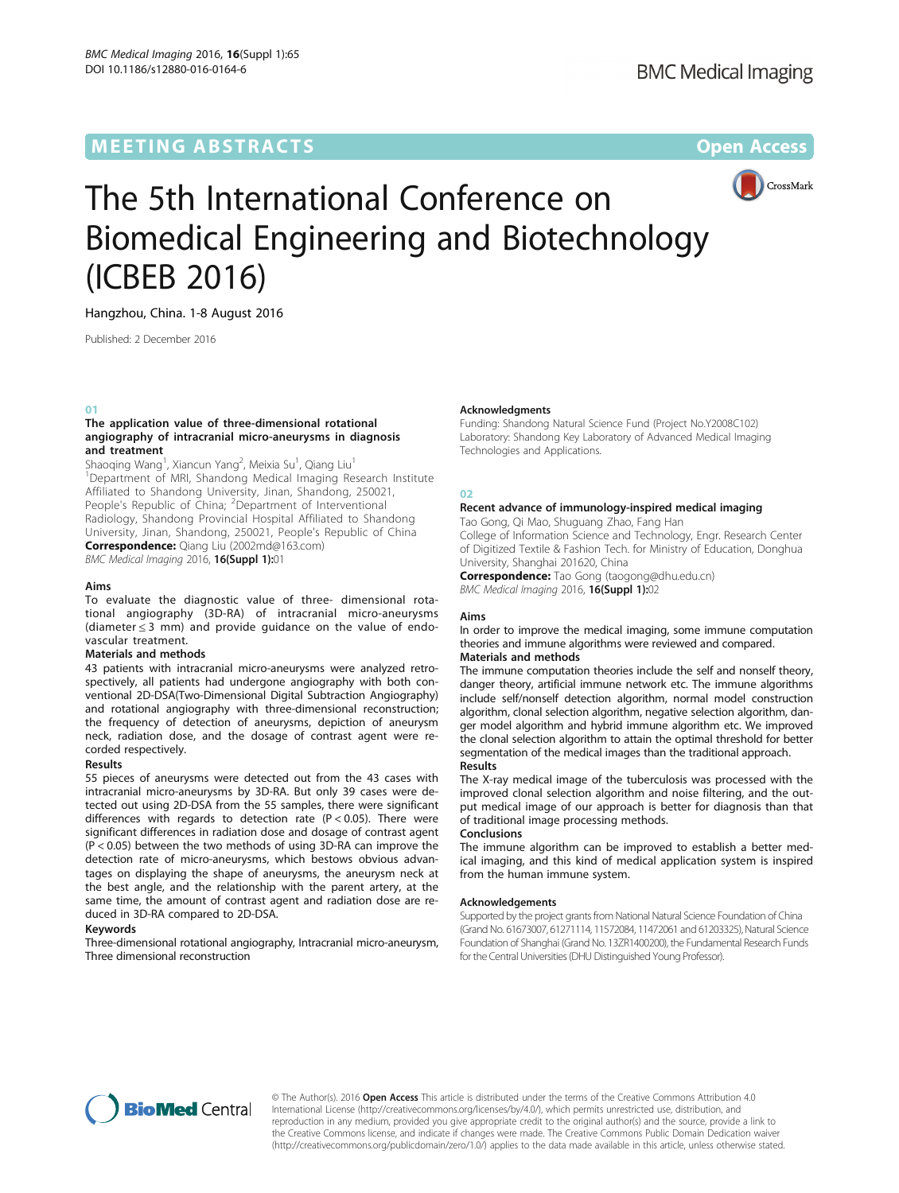# **MEETING ABSTRACTS CONSUMING ABSTRACTS**



# The 5th International Conference on Biomedical Engineering and Biotechnology (ICBEB 2016)

Hangzhou, China. 1-8 August 2016

Published: 2 December 2016

# 01

# The application value of three-dimensional rotational angiography of intracranial micro-aneurysms in diagnosis and treatment

Shaoqing Wang<sup>1</sup>, Xiancun Yang<sup>2</sup>, Meixia Su<sup>1</sup>, Qiang Liu<sup>1</sup> <sup>1</sup>Department of MRI, Shandong Medical Imaging Research Institute Affiliated to Shandong University, Jinan, Shandong, 250021, People's Republic of China; <sup>2</sup>Department of Interventional Radiology, Shandong Provincial Hospital Affiliated to Shandong University, Jinan, Shandong, 250021, People's Republic of China Correspondence: Qiang Liu (2002md@163.com) BMC Medical Imaging 2016, 16(Suppl 1):01

# Aims

To evaluate the diagnostic value of three- dimensional rotational angiography (3D-RA) of intracranial micro-aneurysms (diameter ≤ 3 mm) and provide guidance on the value of endovascular treatment.

# Materials and methods

43 patients with intracranial micro-aneurysms were analyzed retrospectively, all patients had undergone angiography with both conventional 2D-DSA(Two-Dimensional Digital Subtraction Angiography) and rotational angiography with three-dimensional reconstruction; the frequency of detection of aneurysms, depiction of aneurysm neck, radiation dose, and the dosage of contrast agent were recorded respectively.

# Results

55 pieces of aneurysms were detected out from the 43 cases with intracranial micro-aneurysms by 3D-RA. But only 39 cases were detected out using 2D-DSA from the 55 samples, there were significant differences with regards to detection rate  $(P < 0.05)$ . There were significant differences in radiation dose and dosage of contrast agent (P < 0.05) between the two methods of using 3D-RA can improve the detection rate of micro-aneurysms, which bestows obvious advantages on displaying the shape of aneurysms, the aneurysm neck at the best angle, and the relationship with the parent artery, at the same time, the amount of contrast agent and radiation dose are reduced in 3D-RA compared to 2D-DSA.

# Keywords

Three-dimensional rotational angiography, Intracranial micro-aneurysm, Three dimensional reconstruction

# Acknowledgments

Funding: Shandong Natural Science Fund (Project No.Y2008C102) Laboratory: Shandong Key Laboratory of Advanced Medical Imaging Technologies and Applications.

# 02

# Recent advance of immunology-inspired medical imaging

Tao Gong, Qi Mao, Shuguang Zhao, Fang Han

College of Information Science and Technology, Engr. Research Center of Digitized Textile & Fashion Tech. for Ministry of Education, Donghua University, Shanghai 201620, China

Correspondence: Tao Gong (taogong@dhu.edu.cn) BMC Medical Imaging 2016, 16(Suppl 1):02

# Aims

In order to improve the medical imaging, some immune computation theories and immune algorithms were reviewed and compared. Materials and methods

The immune computation theories include the self and nonself theory, danger theory, artificial immune network etc. The immune algorithms include self/nonself detection algorithm, normal model construction algorithm, clonal selection algorithm, negative selection algorithm, danger model algorithm and hybrid immune algorithm etc. We improved the clonal selection algorithm to attain the optimal threshold for better segmentation of the medical images than the traditional approach. Results

The X-ray medical image of the tuberculosis was processed with the improved clonal selection algorithm and noise filtering, and the output medical image of our approach is better for diagnosis than that of traditional image processing methods.

# Conclusions

The immune algorithm can be improved to establish a better medical imaging, and this kind of medical application system is inspired from the human immune system.

# Acknowledgements

Supported by the project grants from National Natural Science Foundation of China (Grand No. 61673007, 61271114, 11572084, 11472061 and 61203325), Natural Science Foundation of Shanghai (Grand No. 13ZR1400200), the Fundamental Research Funds for the Central Universities (DHU Distinguished Young Professor).



© The Author(s). 2016 Open Access This article is distributed under the terms of the Creative Commons Attribution 4.0 International License ([http://creativecommons.org/licenses/by/4.0/\)](http://creativecommons.org/licenses/by/4.0/), which permits unrestricted use, distribution, and reproduction in any medium, provided you give appropriate credit to the original author(s) and the source, provide a link to the Creative Commons license, and indicate if changes were made. The Creative Commons Public Domain Dedication waiver ([http://creativecommons.org/publicdomain/zero/1.0/\)](http://creativecommons.org/publicdomain/zero/1.0/) applies to the data made available in this article, unless otherwise stated.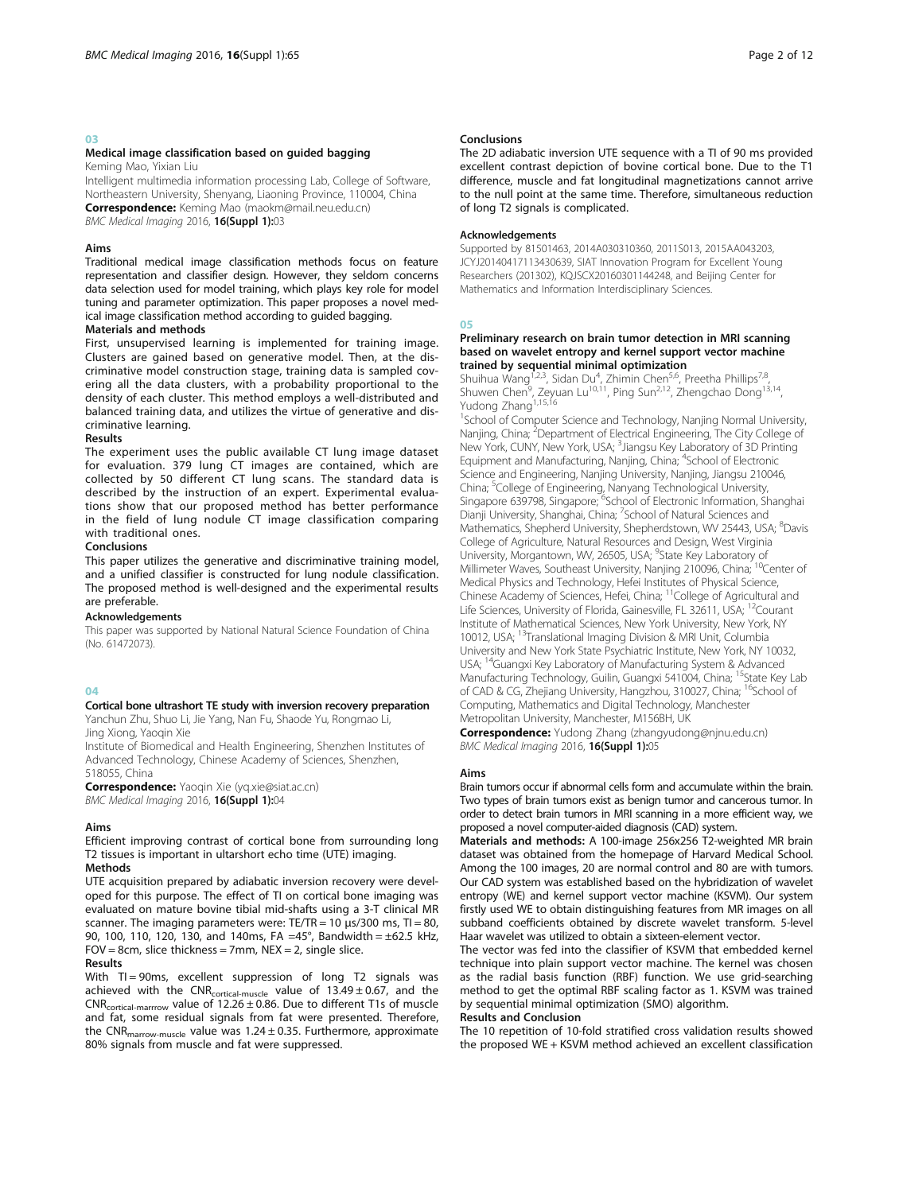# 03

# Medical image classification based on guided bagging

Keming Mao, Yixian Liu

Intelligent multimedia information processing Lab, College of Software, Northeastern University, Shenyang, Liaoning Province, 110004, China Correspondence: Keming Mao (maokm@mail.neu.edu.cn) BMC Medical Imaging 2016, 16(Suppl 1):03

#### Aims

Traditional medical image classification methods focus on feature representation and classifier design. However, they seldom concerns data selection used for model training, which plays key role for model tuning and parameter optimization. This paper proposes a novel medical image classification method according to guided bagging.

# Materials and methods

First, unsupervised learning is implemented for training image. Clusters are gained based on generative model. Then, at the discriminative model construction stage, training data is sampled covering all the data clusters, with a probability proportional to the density of each cluster. This method employs a well-distributed and balanced training data, and utilizes the virtue of generative and discriminative learning.

#### Results

The experiment uses the public available CT lung image dataset for evaluation. 379 lung CT images are contained, which are collected by 50 different CT lung scans. The standard data is described by the instruction of an expert. Experimental evaluations show that our proposed method has better performance in the field of lung nodule CT image classification comparing with traditional ones.

#### Conclusions

This paper utilizes the generative and discriminative training model, and a unified classifier is constructed for lung nodule classification. The proposed method is well-designed and the experimental results are preferable.

#### Acknowledgements

This paper was supported by National Natural Science Foundation of China (No. 61472073).

#### $04$

# Cortical bone ultrashort TE study with inversion recovery preparation

Yanchun Zhu, Shuo Li, Jie Yang, Nan Fu, Shaode Yu, Rongmao Li, Jing Xiong, Yaoqin Xie

Institute of Biomedical and Health Engineering, Shenzhen Institutes of Advanced Technology, Chinese Academy of Sciences, Shenzhen, 518055, China

Correspondence: Yaoqin Xie (yq.xie@siat.ac.cn) BMC Medical Imaging 2016, 16(Suppl 1):04

# Aims

Efficient improving contrast of cortical bone from surrounding long T2 tissues is important in ultarshort echo time (UTE) imaging. Methods

UTE acquisition prepared by adiabatic inversion recovery were developed for this purpose. The effect of TI on cortical bone imaging was evaluated on mature bovine tibial mid-shafts using a 3-T clinical MR scanner. The imaging parameters were: TE/TR = 10  $\mu$ s/300 ms, TI = 80, 90, 100, 110, 120, 130, and 140ms, FA =45°, Bandwidth = ±62.5 kHz,  $FOV = 8cm$ , slice thickness = 7mm,  $NEX = 2$ , single slice.

# Results

With TI = 90ms, excellent suppression of long T2 signals was achieved with the CNR<sub>cortical-muscle</sub> value of  $13.49 \pm 0.67$ , and the  $CNR_{\text{cortical-marrow}}$  value of  $12.26 \pm 0.86$ . Due to different T1s of muscle and fat, some residual signals from fat were presented. Therefore, the CNR<sub>marrow-muscle</sub> value was  $1.24 \pm 0.35$ . Furthermore, approximate 80% signals from muscle and fat were suppressed.

# Conclusions

The 2D adiabatic inversion UTE sequence with a TI of 90 ms provided excellent contrast depiction of bovine cortical bone. Due to the T1 difference, muscle and fat longitudinal magnetizations cannot arrive to the null point at the same time. Therefore, simultaneous reduction of long T2 signals is complicated.

#### Acknowledgements

Supported by 81501463, 2014A030310360, 2011S013, 2015AA043203, JCYJ20140417113430639, SIAT Innovation Program for Excellent Young Researchers (201302), KQJSCX20160301144248, and Beijing Center for Mathematics and Information Interdisciplinary Sciences.

#### 05

# Preliminary research on brain tumor detection in MRI scanning based on wavelet entropy and kernel support vector machine

**trained by sequential minimal optimization**<br>Shuihua Wang<sup>1,2,3</sup>, Sidan Du<sup>4</sup>, Zhimin Chen<sup>5,6</sup>, Preetha Phillips<sup>7,8</sup>, Shuwen Chen<sup>9</sup>, Zeyuan Lu<sup>10,11</sup>, Ping Sun<sup>2,12</sup>, Zhengchao Dong<sup>13,14</sup> Yudong Zhang<sup>1,15,16</sup>

<sup>1</sup>School of Computer Science and Technology, Nanjing Normal University, Nanjing, China; <sup>2</sup>Department of Electrical Engineering, The City College of New York, CUNY, New York, USA; <sup>3</sup> Jiangsu Key Laboratory of 3D Printing Equipment and Manufacturing, Nanjing, China; <sup>4</sup>School of Electronic Science and Engineering, Nanjing University, Nanjing, Jiangsu 210046, China; <sup>5</sup>College of Engineering, Nanyang Technological University,<br>Singapore 639798, Singapore; <sup>6</sup>School of Electronic Information, Shanghai Dianji University, Shanghai, China; <sup>7</sup>School of Natural Sciences and Mathematics, Shepherd University, Shepherdstown, WV 25443, USA; <sup>8</sup>Davis College of Agriculture, Natural Resources and Design, West Virginia University, Morgantown, WV, 26505, USA; <sup>9</sup>State Key Laboratory of Millimeter Waves, Southeast University, Nanjing 210096, China; <sup>10</sup>Center of Medical Physics and Technology, Hefei Institutes of Physical Science,<br>Chinese Academy of Sciences, Hefei, China; <sup>11</sup>College of Agricultural and Life Sciences, University of Florida, Gainesville, FL 32611, USA; <sup>12</sup>Courant Institute of Mathematical Sciences, New York University, New York, NY 10012, USA; 13Translational Imaging Division & MRI Unit, Columbia University and New York State Psychiatric Institute, New York, NY 10032, USA; 14Guangxi Key Laboratory of Manufacturing System & Advanced Manufacturing Technology, Guilin, Guangxi 541004, China; 15State Key Lab of CAD & CG, Zhejiang University, Hangzhou, 310027, China; <sup>16</sup>School of Computing, Mathematics and Digital Technology, Manchester Metropolitan University, Manchester, M156BH, UK

Correspondence: Yudong Zhang (zhangyudong@njnu.edu.cn) BMC Medical Imaging 2016, 16(Suppl 1):05

#### Aims

Brain tumors occur if abnormal cells form and accumulate within the brain. Two types of brain tumors exist as benign tumor and cancerous tumor. In order to detect brain tumors in MRI scanning in a more efficient way, we proposed a novel computer-aided diagnosis (CAD) system.

Materials and methods: A 100-image 256x256 T2-weighted MR brain dataset was obtained from the homepage of Harvard Medical School. Among the 100 images, 20 are normal control and 80 are with tumors. Our CAD system was established based on the hybridization of wavelet entropy (WE) and kernel support vector machine (KSVM). Our system firstly used WE to obtain distinguishing features from MR images on all subband coefficients obtained by discrete wavelet transform. 5-level Haar wavelet was utilized to obtain a sixteen-element vector.

The vector was fed into the classifier of KSVM that embedded kernel technique into plain support vector machine. The kernel was chosen as the radial basis function (RBF) function. We use grid-searching method to get the optimal RBF scaling factor as 1. KSVM was trained by sequential minimal optimization (SMO) algorithm.

# Results and Conclusion

The 10 repetition of 10-fold stratified cross validation results showed the proposed WE + KSVM method achieved an excellent classification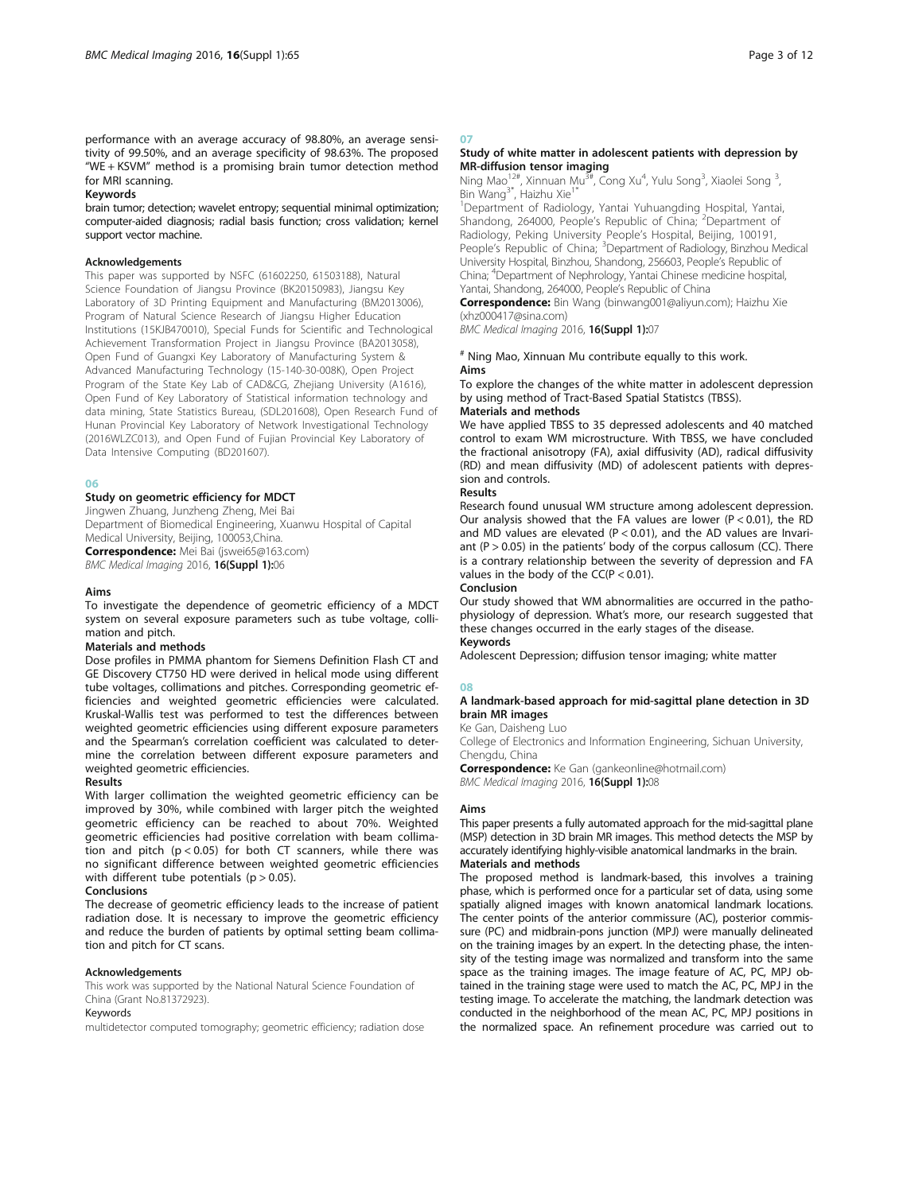performance with an average accuracy of 98.80%, an average sensitivity of 99.50%, and an average specificity of 98.63%. The proposed "WE + KSVM" method is a promising brain tumor detection method for MRI scanning.

#### Keywords

brain tumor; detection; wavelet entropy; sequential minimal optimization; computer-aided diagnosis; radial basis function; cross validation; kernel support vector machine.

#### Acknowledgements

This paper was supported by NSFC (61602250, 61503188), Natural Science Foundation of Jiangsu Province (BK20150983), Jiangsu Key Laboratory of 3D Printing Equipment and Manufacturing (BM2013006), Program of Natural Science Research of Jiangsu Higher Education Institutions (15KJB470010), Special Funds for Scientific and Technological Achievement Transformation Project in Jiangsu Province (BA2013058), Open Fund of Guangxi Key Laboratory of Manufacturing System & Advanced Manufacturing Technology (15-140-30-008K), Open Project Program of the State Key Lab of CAD&CG, Zhejiang University (A1616), Open Fund of Key Laboratory of Statistical information technology and data mining, State Statistics Bureau, (SDL201608), Open Research Fund of Hunan Provincial Key Laboratory of Network Investigational Technology (2016WLZC013), and Open Fund of Fujian Provincial Key Laboratory of Data Intensive Computing (BD201607).

# 06

Study on geometric efficiency for MDCT

Jingwen Zhuang, Junzheng Zheng, Mei Bai Department of Biomedical Engineering, Xuanwu Hospital of Capital Medical University, Beijing, 100053,China. Correspondence: Mei Bai (jswei65@163.com)

BMC Medical Imaging 2016, 16(Suppl 1):06

# Aims

To investigate the dependence of geometric efficiency of a MDCT system on several exposure parameters such as tube voltage, collimation and pitch.

# Materials and methods

Dose profiles in PMMA phantom for Siemens Definition Flash CT and GE Discovery CT750 HD were derived in helical mode using different tube voltages, collimations and pitches. Corresponding geometric efficiencies and weighted geometric efficiencies were calculated. Kruskal-Wallis test was performed to test the differences between weighted geometric efficiencies using different exposure parameters and the Spearman's correlation coefficient was calculated to determine the correlation between different exposure parameters and weighted geometric efficiencies.

# Results

With larger collimation the weighted geometric efficiency can be improved by 30%, while combined with larger pitch the weighted geometric efficiency can be reached to about 70%. Weighted geometric efficiencies had positive correlation with beam collimation and pitch  $(p < 0.05)$  for both CT scanners, while there was no significant difference between weighted geometric efficiencies with different tube potentials ( $p > 0.05$ ).

#### Conclusions

The decrease of geometric efficiency leads to the increase of patient radiation dose. It is necessary to improve the geometric efficiency and reduce the burden of patients by optimal setting beam collimation and pitch for CT scans.

#### Acknowledgements

This work was supported by the National Natural Science Foundation of China (Grant No.81372923).

#### Keywords

multidetector computed tomography; geometric efficiency; radiation dose

# 07

# Study of white matter in adolescent patients with depression by MR-diffusion tensor imaging

Ning Mao<sup>12#</sup>, Xinnuan Mu<sup>3#</sup>, Cong Xu<sup>4</sup>, Yulu Song<sup>3</sup>, Xiaolei Song<sup>3</sup> , Bin Wang<sup>3\*</sup>, Haizhu Xie<sup>1</sup>

<sup>1</sup>Department of Radiology, Yantai Yuhuangding Hospital, Yantai<br>Shandong, 264000, People's Republic of China; <sup>2</sup>Department of Radiology, Peking University People's Hospital, Beijing, 100191, People's Republic of China; <sup>3</sup>Department of Radiology, Binzhou Medical University Hospital, Binzhou, Shandong, 256603, People's Republic of China; <sup>4</sup> Department of Nephrology, Yantai Chinese medicine hospital, Yantai, Shandong, 264000, People's Republic of China

Correspondence: Bin Wang (binwang001@aliyun.com); Haizhu Xie (xhz000417@sina.com)

BMC Medical Imaging 2016, 16(Suppl 1):07

#### # Ning Mao, Xinnuan Mu contribute equally to this work. Aims

To explore the changes of the white matter in adolescent depression by using method of Tract-Based Spatial Statistcs (TBSS).

# Materials and methods

We have applied TBSS to 35 depressed adolescents and 40 matched control to exam WM microstructure. With TBSS, we have concluded the fractional anisotropy (FA), axial diffusivity (AD), radical diffusivity (RD) and mean diffusivity (MD) of adolescent patients with depression and controls.

# Results

Research found unusual WM structure among adolescent depression. Our analysis showed that the FA values are lower ( $P < 0.01$ ), the RD and MD values are elevated ( $P < 0.01$ ), and the AD values are Invariant ( $P > 0.05$ ) in the patients' body of the corpus callosum (CC). There is a contrary relationship between the severity of depression and FA values in the body of the  $CC(P < 0.01)$ .

### Conclusion

Our study showed that WM abnormalities are occurred in the pathophysiology of depression. What's more, our research suggested that these changes occurred in the early stages of the disease. Keywords

Adolescent Depression; diffusion tensor imaging; white matter

# 08

# A landmark-based approach for mid-sagittal plane detection in 3D brain MR images

Ke Gan, Daisheng Luo

College of Electronics and Information Engineering, Sichuan University, Chengdu, China

Correspondence: Ke Gan (gankeonline@hotmail.com) BMC Medical Imaging 2016, 16(Suppl 1):08

#### Aims

This paper presents a fully automated approach for the mid-sagittal plane (MSP) detection in 3D brain MR images. This method detects the MSP by accurately identifying highly-visible anatomical landmarks in the brain. Materials and methods

The proposed method is landmark-based, this involves a training phase, which is performed once for a particular set of data, using some spatially aligned images with known anatomical landmark locations. The center points of the anterior commissure (AC), posterior commissure (PC) and midbrain-pons junction (MPJ) were manually delineated on the training images by an expert. In the detecting phase, the intensity of the testing image was normalized and transform into the same space as the training images. The image feature of AC, PC, MPJ obtained in the training stage were used to match the AC, PC, MPJ in the testing image. To accelerate the matching, the landmark detection was conducted in the neighborhood of the mean AC, PC, MPJ positions in the normalized space. An refinement procedure was carried out to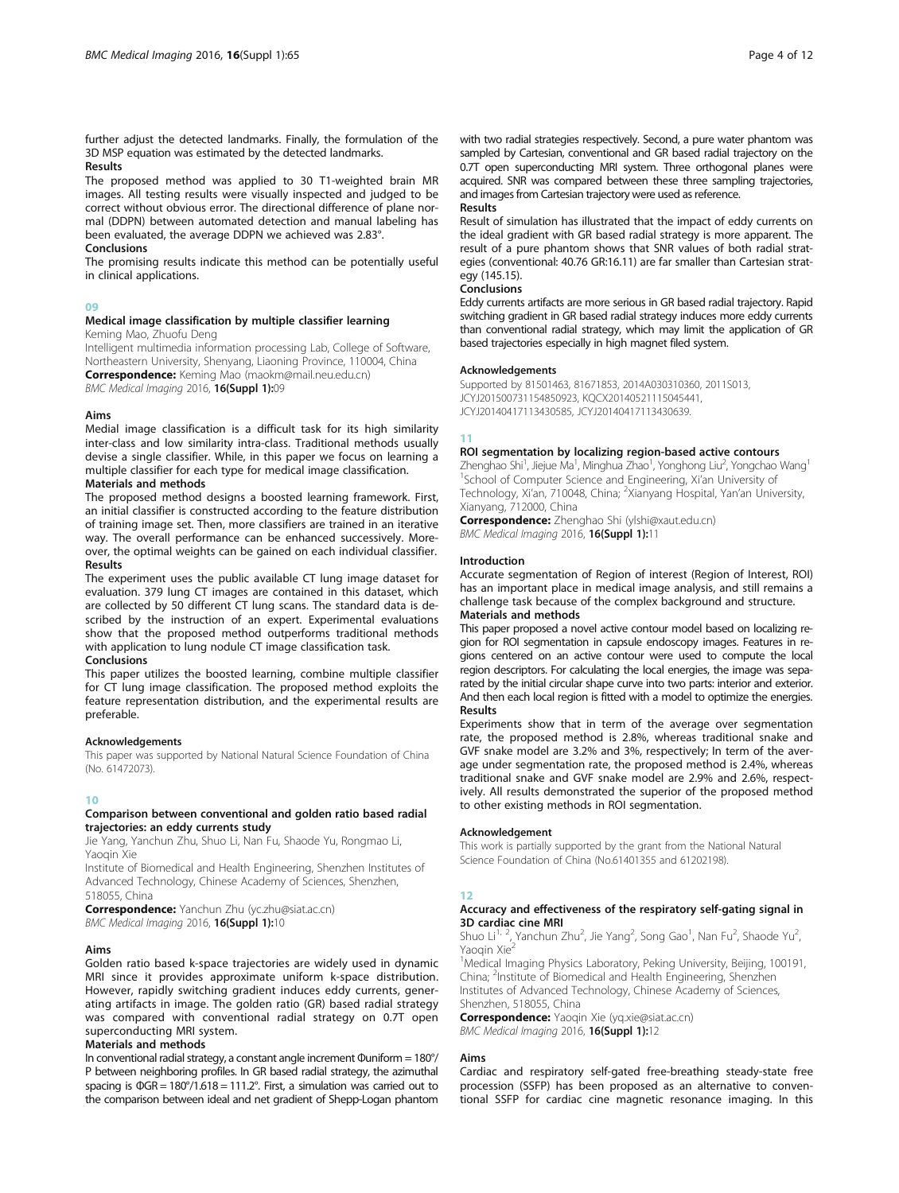further adjust the detected landmarks. Finally, the formulation of the 3D MSP equation was estimated by the detected landmarks.

# Results

The proposed method was applied to 30 T1-weighted brain MR images. All testing results were visually inspected and judged to be correct without obvious error. The directional difference of plane normal (DDPN) between automated detection and manual labeling has been evaluated, the average DDPN we achieved was 2.83°. Conclusions

# The promising results indicate this method can be potentially useful in clinical applications.

#### 09

# Medical image classification by multiple classifier learning

Keming Mao, Zhuofu Deng

Intelligent multimedia information processing Lab, College of Software, Northeastern University, Shenyang, Liaoning Province, 110004, China Correspondence: Keming Mao (maokm@mail.neu.edu.cn)

# BMC Medical Imaging 2016, 16(Suppl 1):09

# Aims

Medial image classification is a difficult task for its high similarity inter-class and low similarity intra-class. Traditional methods usually devise a single classifier. While, in this paper we focus on learning a multiple classifier for each type for medical image classification.

# Materials and methods

The proposed method designs a boosted learning framework. First, an initial classifier is constructed according to the feature distribution of training image set. Then, more classifiers are trained in an iterative way. The overall performance can be enhanced successively. Moreover, the optimal weights can be gained on each individual classifier. Results

The experiment uses the public available CT lung image dataset for evaluation. 379 lung CT images are contained in this dataset, which are collected by 50 different CT lung scans. The standard data is described by the instruction of an expert. Experimental evaluations show that the proposed method outperforms traditional methods with application to lung nodule CT image classification task.

# Conclusions

This paper utilizes the boosted learning, combine multiple classifier for CT lung image classification. The proposed method exploits the feature representation distribution, and the experimental results are preferable.

# Acknowledgements

This paper was supported by National Natural Science Foundation of China (No. 61472073).

# 10

#### Comparison between conventional and golden ratio based radial trajectories: an eddy currents study

Jie Yang, Yanchun Zhu, Shuo Li, Nan Fu, Shaode Yu, Rongmao Li, Yaoqin Xie

Institute of Biomedical and Health Engineering, Shenzhen Institutes of Advanced Technology, Chinese Academy of Sciences, Shenzhen, 518055, China

Correspondence: Yanchun Zhu (yc.zhu@siat.ac.cn) BMC Medical Imaging 2016, 16(Suppl 1):10

# Aims

Golden ratio based k-space trajectories are widely used in dynamic MRI since it provides approximate uniform k-space distribution. However, rapidly switching gradient induces eddy currents, generating artifacts in image. The golden ratio (GR) based radial strategy was compared with conventional radial strategy on 0.7T open superconducting MRI system.

# Materials and methods

In conventional radial strategy, a constant angle increment Φuniform = 180°/ P between neighboring profiles. In GR based radial strategy, the azimuthal spacing is ΦGR = 180°/1.618 = 111.2°. First, a simulation was carried out to the comparison between ideal and net gradient of Shepp-Logan phantom with two radial strategies respectively. Second, a pure water phantom was sampled by Cartesian, conventional and GR based radial trajectory on the 0.7T open superconducting MRI system. Three orthogonal planes were acquired. SNR was compared between these three sampling trajectories, and images from Cartesian trajectory were used as reference.

# Results

Result of simulation has illustrated that the impact of eddy currents on the ideal gradient with GR based radial strategy is more apparent. The result of a pure phantom shows that SNR values of both radial strategies (conventional: 40.76 GR:16.11) are far smaller than Cartesian strategy (145.15).

#### Conclusions

Eddy currents artifacts are more serious in GR based radial trajectory. Rapid switching gradient in GR based radial strategy induces more eddy currents than conventional radial strategy, which may limit the application of GR based trajectories especially in high magnet filed system.

#### Acknowledgements

Supported by 81501463, 81671853, 2014A030310360, 2011S013, JCYJ201500731154850923, KQCX20140521115045441, JCYJ20140417113430585, JCYJ20140417113430639.

# 11

# ROI segmentation by localizing region-based active contours

Zhenghao Shi<sup>1</sup>, Jiejue Ma<sup>1</sup>, Minghua Zhao<sup>1</sup>, Yonghong Liu<sup>2</sup>, Yongchao Wang<sup>1</sup> <sup>1</sup>School of Computer Science and Engineering, Xi'an University of Technology, Xi'an, 710048, China; <sup>2</sup>Xianyang Hospital, Yan'an University Xianyang, 712000, China

Correspondence: Zhenghao Shi (ylshi@xaut.edu.cn) BMC Medical Imaging 2016, 16(Suppl 1):11

#### Introduction

Accurate segmentation of Region of interest (Region of Interest, ROI) has an important place in medical image analysis, and still remains a challenge task because of the complex background and structure. Materials and methods

# This paper proposed a novel active contour model based on localizing region for ROI segmentation in capsule endoscopy images. Features in regions centered on an active contour were used to compute the local region descriptors. For calculating the local energies, the image was separated by the initial circular shape curve into two parts: interior and exterior. And then each local region is fitted with a model to optimize the energies.

#### Results

Experiments show that in term of the average over segmentation rate, the proposed method is 2.8%, whereas traditional snake and GVF snake model are 3.2% and 3%, respectively; In term of the average under segmentation rate, the proposed method is 2.4%, whereas traditional snake and GVF snake model are 2.9% and 2.6%, respectively. All results demonstrated the superior of the proposed method to other existing methods in ROI segmentation.

#### Acknowledgement

This work is partially supported by the grant from the National Natural Science Foundation of China (No.61401355 and 61202198).

# 12

# Accuracy and effectiveness of the respiratory self-gating signal in **3D cardiac cine MRI**<br>Shuo Li<sup>1, 2</sup>, Yanchun Zhu<sup>2</sup>, Jie Yang<sup>2</sup>, Song Gao<sup>1</sup>, Nan Fu<sup>2</sup>, Shaode Yu<sup>2</sup>

Yaoqin Xie<sup>2</sup>

<sup>1</sup>Medical Imaging Physics Laboratory, Peking University, Beijing, 100191, China; <sup>2</sup>Institute of Biomedical and Health Engineering, Shenzhen Institutes of Advanced Technology, Chinese Academy of Sciences, Shenzhen, 518055, China

Correspondence: Yaoqin Xie (yq.xie@siat.ac.cn) BMC Medical Imaging 2016, 16(Suppl 1):12

# Aims

Cardiac and respiratory self-gated free-breathing steady-state free procession (SSFP) has been proposed as an alternative to conventional SSFP for cardiac cine magnetic resonance imaging. In this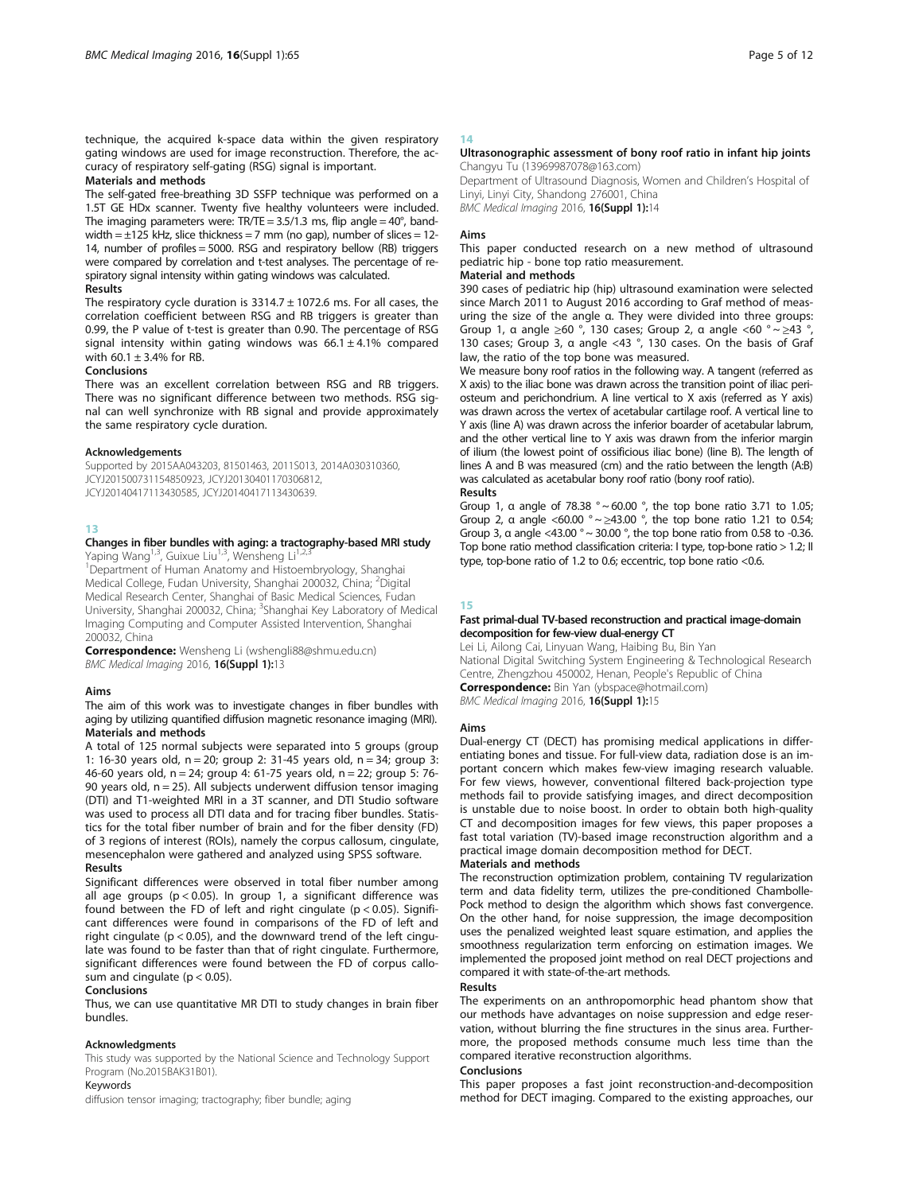technique, the acquired k-space data within the given respiratory gating windows are used for image reconstruction. Therefore, the accuracy of respiratory self-gating (RSG) signal is important.

# Materials and methods

The self-gated free-breathing 3D SSFP technique was performed on a 1.5T GE HDx scanner. Twenty five healthy volunteers were included. The imaging parameters were:  $TR/TE = 3.5/1.3$  ms, flip angle =  $40^{\circ}$ , bandwidth  $= \pm 125$  kHz, slice thickness = 7 mm (no gap), number of slices = 12-14, number of profiles = 5000. RSG and respiratory bellow (RB) triggers were compared by correlation and t-test analyses. The percentage of respiratory signal intensity within gating windows was calculated.

#### Results

The respiratory cycle duration is  $3314.7 \pm 1072.6$  ms. For all cases, the correlation coefficient between RSG and RB triggers is greater than 0.99, the P value of t-test is greater than 0.90. The percentage of RSG signal intensity within gating windows was  $66.1 \pm 4.1\%$  compared with  $60.1 \pm 3.4\%$  for RB.

# Conclusions

There was an excellent correlation between RSG and RB triggers. There was no significant difference between two methods. RSG signal can well synchronize with RB signal and provide approximately the same respiratory cycle duration.

#### Acknowledgements

Supported by 2015AA043203, 81501463, 2011S013, 2014A030310360, JCYJ201500731154850923, JCYJ20130401170306812, JCYJ20140417113430585, JCYJ20140417113430639.

# 13

# Changes in fiber bundles with aging: a tractography-based MRI study Yaping Wang<sup>1,3</sup>, Guixue Liu<sup>1,3</sup>, Wensheng Li<sup>1,2</sup>

<sup>1</sup>Department of Human Anatomy and Histoembryology, Shanghai Medical College, Fudan University, Shanghai 200032, China; <sup>2</sup>Digital Medical Research Center, Shanghai of Basic Medical Sciences, Fudan University, Shanghai 200032, China; <sup>3</sup>Shanghai Key Laboratory of Medical Imaging Computing and Computer Assisted Intervention, Shanghai 200032, China

Correspondence: Wensheng Li (wshengli88@shmu.edu.cn) BMC Medical Imaging 2016, 16(Suppl 1):13

# Aims

The aim of this work was to investigate changes in fiber bundles with aging by utilizing quantified diffusion magnetic resonance imaging (MRI). Materials and methods

A total of 125 normal subjects were separated into 5 groups (group 1: 16-30 years old, n = 20; group 2: 31-45 years old, n = 34; group 3: 46-60 years old, n = 24; group 4: 61-75 years old, n = 22; group 5: 76- 90 years old,  $n = 25$ ). All subjects underwent diffusion tensor imaging (DTI) and T1-weighted MRI in a 3T scanner, and DTI Studio software was used to process all DTI data and for tracing fiber bundles. Statistics for the total fiber number of brain and for the fiber density (FD) of 3 regions of interest (ROIs), namely the corpus callosum, cingulate, mesencephalon were gathered and analyzed using SPSS software. Results

# Significant differences were observed in total fiber number among all age groups (p < 0.05). In group 1, a significant difference was found between the FD of left and right cingulate ( $p < 0.05$ ). Significant differences were found in comparisons of the FD of left and right cingulate ( $p < 0.05$ ), and the downward trend of the left cingulate was found to be faster than that of right cingulate. Furthermore, significant differences were found between the FD of corpus callosum and cingulate ( $p < 0.05$ ).

#### Conclusions

Thus, we can use quantitative MR DTI to study changes in brain fiber bundles.

#### Acknowledgments

This study was supported by the National Science and Technology Support Program (No.2015BAK31B01).

Keywords

diffusion tensor imaging; tractography; fiber bundle; aging

# 14

# Ultrasonographic assessment of bony roof ratio in infant hip joints Changyu Tu (13969987078@163.com)

Department of Ultrasound Diagnosis, Women and Children's Hospital of Linyi, Linyi City, Shandong 276001, China

BMC Medical Imaging 2016, 16(Suppl 1):14

# Aims

This paper conducted research on a new method of ultrasound pediatric hip - bone top ratio measurement.

# Material and methods

390 cases of pediatric hip (hip) ultrasound examination were selected since March 2011 to August 2016 according to Graf method of measuring the size of the angle α. They were divided into three groups: Group 1,  $\alpha$  angle  $\geq 60^\circ$ , 130 cases; Group 2,  $\alpha$  angle <60 °  $\sim \geq 43^\circ$ , 130 cases; Group 3, α angle <43 °, 130 cases. On the basis of Graf law, the ratio of the top bone was measured.

We measure bony roof ratios in the following way. A tangent (referred as X axis) to the iliac bone was drawn across the transition point of iliac periosteum and perichondrium. A line vertical to X axis (referred as Y axis) was drawn across the vertex of acetabular cartilage roof. A vertical line to Y axis (line A) was drawn across the inferior boarder of acetabular labrum, and the other vertical line to Y axis was drawn from the inferior margin of ilium (the lowest point of ossificious iliac bone) (line B). The length of lines A and B was measured (cm) and the ratio between the length (A:B) was calculated as acetabular bony roof ratio (bony roof ratio). Results

Group 1, α angle of 78.38 ° ~ 60.00 °, the top bone ratio 3.71 to 1.05; Group 2, a angle <60.00 °  $\sim \geq 43.00$  °, the top bone ratio 1.21 to 0.54; Group 3,  $\alpha$  angle <43.00 °  $\sim$  30.00 °, the top bone ratio from 0.58 to -0.36. Top bone ratio method classification criteria: I type, top-bone ratio > 1.2; II type, top-bone ratio of 1.2 to 0.6; eccentric, top bone ratio <0.6.

#### 15

#### Fast primal-dual TV-based reconstruction and practical image-domain decomposition for few-view dual-energy CT

Lei Li, Ailong Cai, Linyuan Wang, Haibing Bu, Bin Yan National Digital Switching System Engineering & Technological Research Centre, Zhengzhou 450002, Henan, People's Republic of China Correspondence: Bin Yan (ybspace@hotmail.com) BMC Medical Imaging 2016, 16(Suppl 1):15

#### Aims

Dual-energy CT (DECT) has promising medical applications in differentiating bones and tissue. For full-view data, radiation dose is an important concern which makes few-view imaging research valuable. For few views, however, conventional filtered back-projection type methods fail to provide satisfying images, and direct decomposition is unstable due to noise boost. In order to obtain both high-quality CT and decomposition images for few views, this paper proposes a fast total variation (TV)-based image reconstruction algorithm and a practical image domain decomposition method for DECT.

# Materials and methods

The reconstruction optimization problem, containing TV regularization term and data fidelity term, utilizes the pre-conditioned Chambolle-Pock method to design the algorithm which shows fast convergence. On the other hand, for noise suppression, the image decomposition uses the penalized weighted least square estimation, and applies the smoothness regularization term enforcing on estimation images. We implemented the proposed joint method on real DECT projections and compared it with state-of-the-art methods.

#### Results

The experiments on an anthropomorphic head phantom show that our methods have advantages on noise suppression and edge reservation, without blurring the fine structures in the sinus area. Furthermore, the proposed methods consume much less time than the compared iterative reconstruction algorithms.

# Conclusions

This paper proposes a fast joint reconstruction-and-decomposition method for DECT imaging. Compared to the existing approaches, our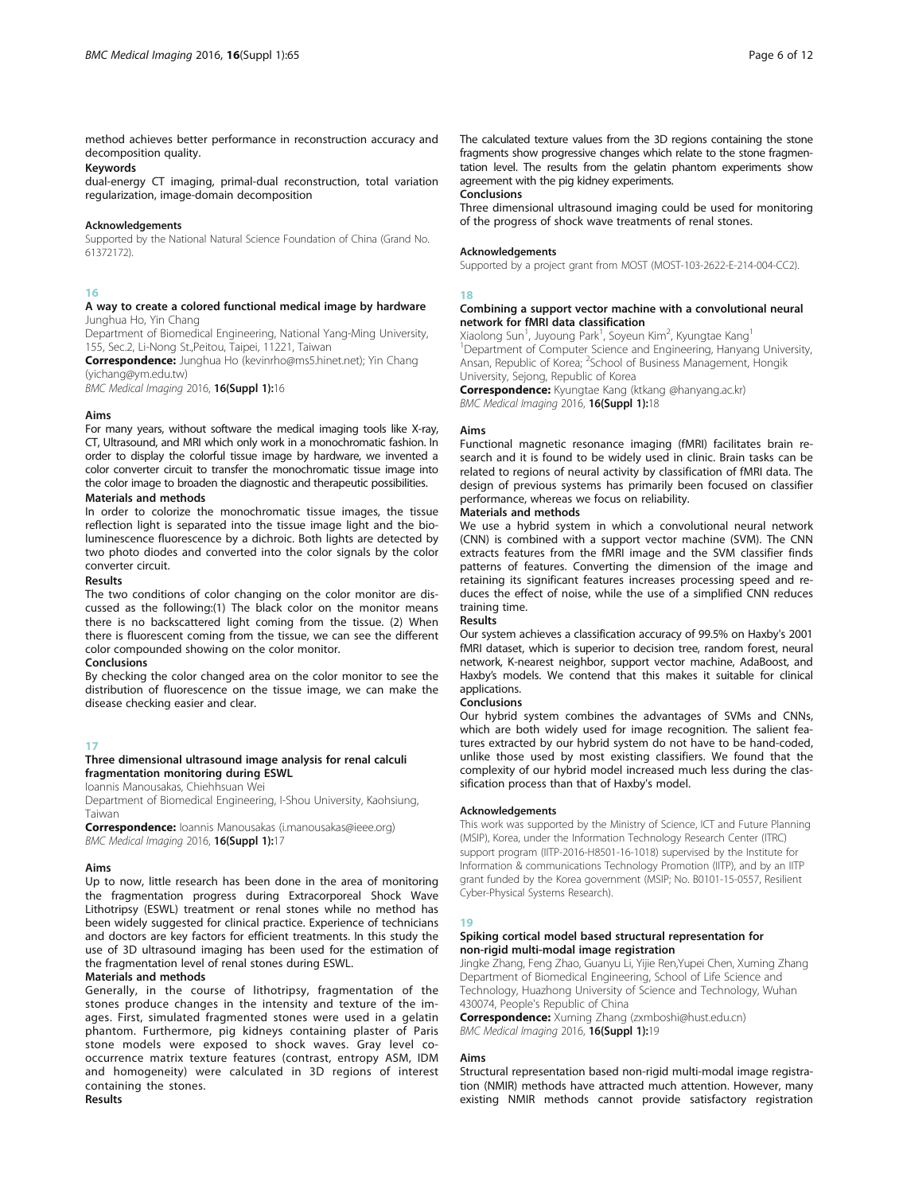method achieves better performance in reconstruction accuracy and decomposition quality.

#### Keywords

dual-energy CT imaging, primal-dual reconstruction, total variation regularization, image-domain decomposition

#### Acknowledgements

Supported by the National Natural Science Foundation of China (Grand No. 61372172).

# 16

# A way to create a colored functional medical image by hardware Junghua Ho, Yin Chang

Department of Biomedical Engineering, National Yang-Ming University, 155, Sec.2, Li-Nong St.,Peitou, Taipei, 11221, Taiwan

Correspondence: Junghua Ho (kevinrho@ms5.hinet.net); Yin Chang (yichang@ym.edu.tw)

BMC Medical Imaging 2016, 16(Suppl 1):16

# Aims

For many years, without software the medical imaging tools like X-ray, CT, Ultrasound, and MRI which only work in a monochromatic fashion. In order to display the colorful tissue image by hardware, we invented a color converter circuit to transfer the monochromatic tissue image into the color image to broaden the diagnostic and therapeutic possibilities.

# Materials and methods

In order to colorize the monochromatic tissue images, the tissue reflection light is separated into the tissue image light and the bioluminescence fluorescence by a dichroic. Both lights are detected by two photo diodes and converted into the color signals by the color converter circuit.

# Results

The two conditions of color changing on the color monitor are discussed as the following:(1) The black color on the monitor means there is no backscattered light coming from the tissue. (2) When there is fluorescent coming from the tissue, we can see the different color compounded showing on the color monitor.

# Conclusions

By checking the color changed area on the color monitor to see the distribution of fluorescence on the tissue image, we can make the disease checking easier and clear.

# 17

# Three dimensional ultrasound image analysis for renal calculi fragmentation monitoring during ESWL

Ioannis Manousakas, Chiehhsuan Wei

Department of Biomedical Engineering, I-Shou University, Kaohsiung, Taiwan

Correspondence: Ioannis Manousakas (i.manousakas@ieee.org) BMC Medical Imaging 2016, 16(Suppl 1):17

# Aims

Up to now, little research has been done in the area of monitoring the fragmentation progress during Extracorporeal Shock Wave Lithotripsy (ESWL) treatment or renal stones while no method has been widely suggested for clinical practice. Experience of technicians and doctors are key factors for efficient treatments. In this study the use of 3D ultrasound imaging has been used for the estimation of the fragmentation level of renal stones during ESWL.

# Materials and methods

Generally, in the course of lithotripsy, fragmentation of the stones produce changes in the intensity and texture of the images. First, simulated fragmented stones were used in a gelatin phantom. Furthermore, pig kidneys containing plaster of Paris stone models were exposed to shock waves. Gray level cooccurrence matrix texture features (contrast, entropy ASM, IDM and homogeneity) were calculated in 3D regions of interest containing the stones. Results

The calculated texture values from the 3D regions containing the stone fragments show progressive changes which relate to the stone fragmentation level. The results from the gelatin phantom experiments show agreement with the pig kidney experiments.

Conclusions

Three dimensional ultrasound imaging could be used for monitoring of the progress of shock wave treatments of renal stones.

# **Acknowledgements**

Supported by a project grant from MOST (MOST-103-2622-E-214-004-CC2).

# 18

# Combining a support vector machine with a convolutional neural network for fMRI data classification

Xiaolong Sun<sup>1</sup>, Juyoung Park<sup>1</sup>, Soyeun Kim<sup>2</sup>, Kyungtae Kang<sup>1</sup> <sup>1</sup>Department of Computer Science and Engineering, Hanyang University, Ansan, Republic of Korea; <sup>2</sup>School of Business Management, Hongik University, Sejong, Republic of Korea

**Correspondence:** Kyungtae Kang (ktkang @hanyang.ac.kr) BMC Medical Imaging 2016, 16(Suppl 1):18

# Aims

Functional magnetic resonance imaging (fMRI) facilitates brain research and it is found to be widely used in clinic. Brain tasks can be related to regions of neural activity by classification of fMRI data. The design of previous systems has primarily been focused on classifier performance, whereas we focus on reliability.

# Materials and methods

We use a hybrid system in which a convolutional neural network (CNN) is combined with a support vector machine (SVM). The CNN extracts features from the fMRI image and the SVM classifier finds patterns of features. Converting the dimension of the image and retaining its significant features increases processing speed and reduces the effect of noise, while the use of a simplified CNN reduces training time.

# Results

Our system achieves a classification accuracy of 99.5% on Haxby's 2001 fMRI dataset, which is superior to decision tree, random forest, neural network, K-nearest neighbor, support vector machine, AdaBoost, and Haxby's models. We contend that this makes it suitable for clinical applications.

#### Conclusions

Our hybrid system combines the advantages of SVMs and CNNs, which are both widely used for image recognition. The salient features extracted by our hybrid system do not have to be hand-coded, unlike those used by most existing classifiers. We found that the complexity of our hybrid model increased much less during the classification process than that of Haxby's model.

#### Acknowledgements

This work was supported by the Ministry of Science, ICT and Future Planning (MSIP), Korea, under the Information Technology Research Center (ITRC) support program (IITP-2016-H8501-16-1018) supervised by the Institute for Information & communications Technology Promotion (IITP), and by an IITP grant funded by the Korea government (MSIP; No. B0101-15-0557, Resilient Cyber-Physical Systems Research).

# 19

# Spiking cortical model based structural representation for non-rigid multi-modal image registration

Jingke Zhang, Feng Zhao, Guanyu Li, Yijie Ren,Yupei Chen, Xuming Zhang Department of Biomedical Engineering, School of Life Science and Technology, Huazhong University of Science and Technology, Wuhan 430074, People's Republic of China

Correspondence: Xuming Zhang (zxmboshi@hust.edu.cn) BMC Medical Imaging 2016, 16(Suppl 1):19

# Aims

Structural representation based non-rigid multi-modal image registration (NMIR) methods have attracted much attention. However, many existing NMIR methods cannot provide satisfactory registration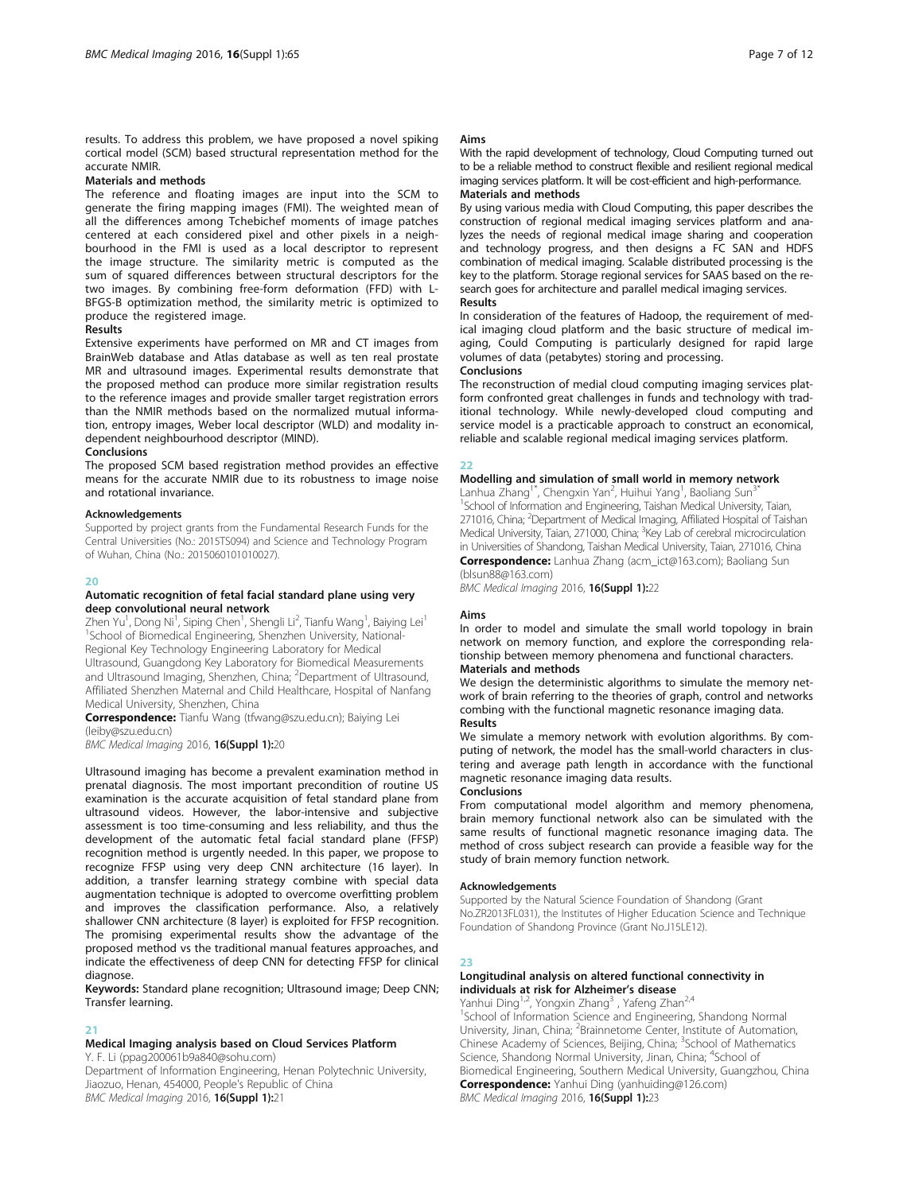results. To address this problem, we have proposed a novel spiking cortical model (SCM) based structural representation method for the accurate NMIR.

# Materials and methods

The reference and floating images are input into the SCM to generate the firing mapping images (FMI). The weighted mean of all the differences among Tchebichef moments of image patches centered at each considered pixel and other pixels in a neighbourhood in the FMI is used as a local descriptor to represent the image structure. The similarity metric is computed as the sum of squared differences between structural descriptors for the two images. By combining free-form deformation (FFD) with L-BFGS-B optimization method, the similarity metric is optimized to produce the registered image.

# Results

Extensive experiments have performed on MR and CT images from BrainWeb database and Atlas database as well as ten real prostate MR and ultrasound images. Experimental results demonstrate that the proposed method can produce more similar registration results to the reference images and provide smaller target registration errors than the NMIR methods based on the normalized mutual information, entropy images, Weber local descriptor (WLD) and modality independent neighbourhood descriptor (MIND).

# Conclusions

The proposed SCM based registration method provides an effective means for the accurate NMIR due to its robustness to image noise and rotational invariance.

#### Acknowledgements

Supported by project grants from the Fundamental Research Funds for the Central Universities (No.: 2015TS094) and Science and Technology Program of Wuhan, China (No.: 2015060101010027).

# $20$

#### Automatic recognition of fetal facial standard plane using very deep convolutional neural network

Zhen Yu<sup>1</sup>, Dong Ni<sup>1</sup>, Siping Chen<sup>1</sup>, Shengli Li<sup>2</sup>, Tianfu Wang<sup>1</sup>, Baiying Lei<sup>1</sup> <sup>1</sup>School of Biomedical Engineering, Shenzhen University, National-Regional Key Technology Engineering Laboratory for Medical Ultrasound, Guangdong Key Laboratory for Biomedical Measurements and Ultrasound Imaging, Shenzhen, China; <sup>2</sup>Department of Ultrasound, Affiliated Shenzhen Maternal and Child Healthcare, Hospital of Nanfang Medical University, Shenzhen, China

Correspondence: Tianfu Wang (tfwang@szu.edu.cn); Baiying Lei (leiby@szu.edu.cn)

BMC Medical Imaging 2016, 16(Suppl 1):20

Ultrasound imaging has become a prevalent examination method in prenatal diagnosis. The most important precondition of routine US examination is the accurate acquisition of fetal standard plane from ultrasound videos. However, the labor-intensive and subjective assessment is too time-consuming and less reliability, and thus the development of the automatic fetal facial standard plane (FFSP) recognition method is urgently needed. In this paper, we propose to recognize FFSP using very deep CNN architecture (16 layer). In addition, a transfer learning strategy combine with special data augmentation technique is adopted to overcome overfitting problem and improves the classification performance. Also, a relatively shallower CNN architecture (8 layer) is exploited for FFSP recognition. The promising experimental results show the advantage of the proposed method vs the traditional manual features approaches, and indicate the effectiveness of deep CNN for detecting FFSP for clinical diagnose.

Keywords: Standard plane recognition; Ultrasound image; Deep CNN; Transfer learning.

# 21

# Medical Imaging analysis based on Cloud Services Platform

Y. F. Li (ppag200061b9a840@sohu.com)

Department of Information Engineering, Henan Polytechnic University, Jiaozuo, Henan, 454000, People's Republic of China BMC Medical Imaging 2016, 16(Suppl 1):21

#### Aims

With the rapid development of technology, Cloud Computing turned out to be a reliable method to construct flexible and resilient regional medical imaging services platform. It will be cost-efficient and high-performance. Materials and methods

By using various media with Cloud Computing, this paper describes the construction of regional medical imaging services platform and analyzes the needs of regional medical image sharing and cooperation and technology progress, and then designs a FC SAN and HDFS combination of medical imaging. Scalable distributed processing is the key to the platform. Storage regional services for SAAS based on the research goes for architecture and parallel medical imaging services. **Results** 

In consideration of the features of Hadoop, the requirement of medical imaging cloud platform and the basic structure of medical imaging, Could Computing is particularly designed for rapid large volumes of data (petabytes) storing and processing. Conclusions

The reconstruction of medial cloud computing imaging services platform confronted great challenges in funds and technology with traditional technology. While newly-developed cloud computing and service model is a practicable approach to construct an economical, reliable and scalable regional medical imaging services platform.

# 22

# Modelling and simulation of small world in memory network

Lanhua Zhang<sup>1\*</sup>, Chengxin Yan<sup>2</sup>, Huihui Yang<sup>1</sup>, Baoliang Sun<sup>3\*</sup> <sup>1</sup>School of Information and Engineering, Taishan Medical University, Taian, 271016, China; <sup>2</sup>Department of Medical Imaging, Affiliated Hospital of Taishan Medical University, Taian, 271000, China; <sup>3</sup>Key Lab of cerebral microcirculation in Universities of Shandong, Taishan Medical University, Taian, 271016, China Correspondence: Lanhua Zhang (acm\_ict@163.com); Baoliang Sun

(blsun88@163.com)

BMC Medical Imaging 2016, 16(Suppl 1):22

# Aims

In order to model and simulate the small world topology in brain network on memory function, and explore the corresponding relationship between memory phenomena and functional characters. Materials and methods

We design the deterministic algorithms to simulate the memory network of brain referring to the theories of graph, control and networks combing with the functional magnetic resonance imaging data. Results

We simulate a memory network with evolution algorithms. By computing of network, the model has the small-world characters in clustering and average path length in accordance with the functional magnetic resonance imaging data results.

#### Conclusions

From computational model algorithm and memory phenomena, brain memory functional network also can be simulated with the same results of functional magnetic resonance imaging data. The method of cross subject research can provide a feasible way for the study of brain memory function network.

# Acknowledgements

Supported by the Natural Science Foundation of Shandong (Grant No.ZR2013FL031), the Institutes of Higher Education Science and Technique Foundation of Shandong Province (Grant No.J15LE12).

# 23

# Longitudinal analysis on altered functional connectivity in individuals at risk for Alzheimer's disease

Yanhui Ding<sup>1,2</sup>, Yongxin Zhang<sup>3</sup>, Yafeng Zhan<sup>2,4</sup>

<sup>1</sup>School of Information Science and Engineering, Shandong Normal University, Jinan, China; <sup>2</sup>Brainnetome Center, Institute of Automation Chinese Academy of Sciences, Beijing, China; <sup>3</sup>School of Mathematics Science, Shandong Normal University, Jinan, China; <sup>4</sup>School of Biomedical Engineering, Southern Medical University, Guangzhou, China Correspondence: Yanhui Ding (yanhuiding@126.com) BMC Medical Imaging 2016, 16(Suppl 1):23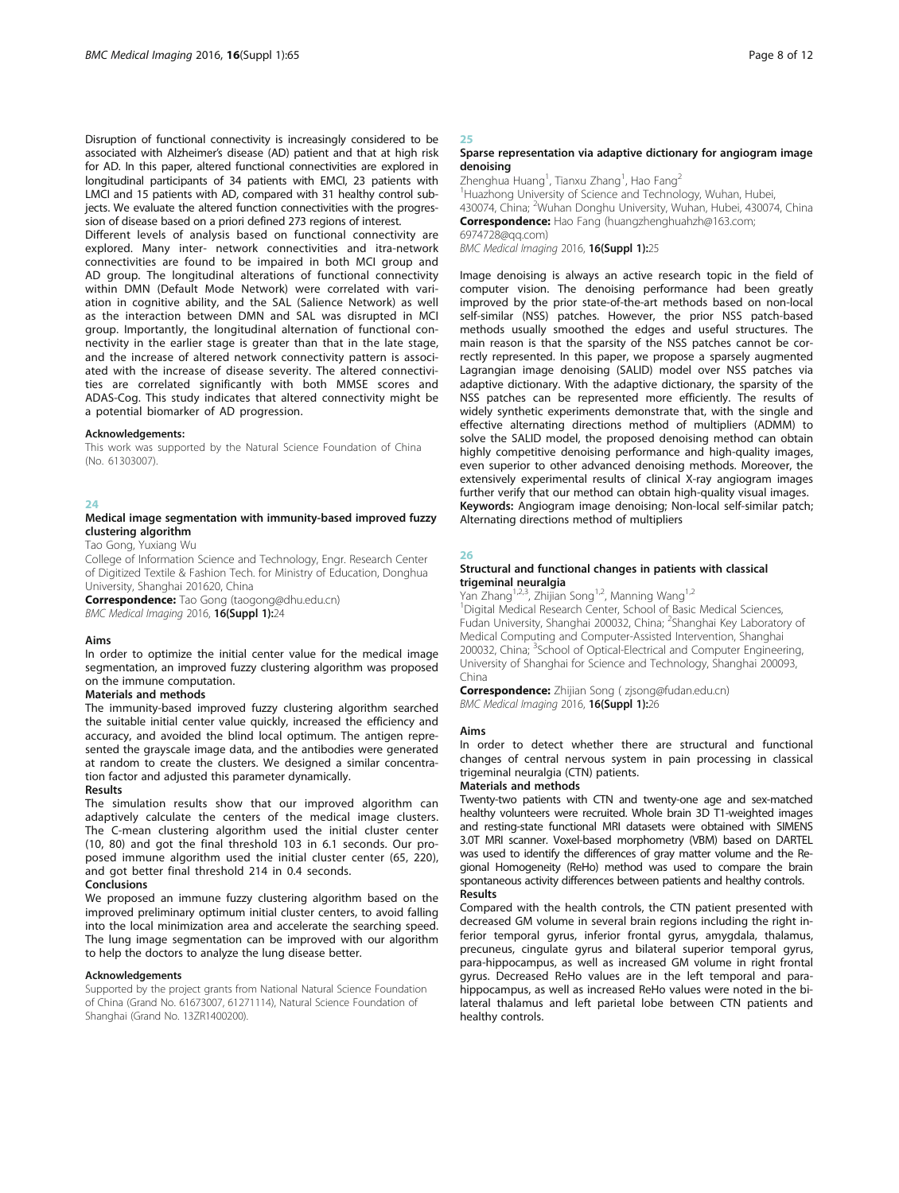Disruption of functional connectivity is increasingly considered to be associated with Alzheimer's disease (AD) patient and that at high risk for AD. In this paper, altered functional connectivities are explored in longitudinal participants of 34 patients with EMCI, 23 patients with LMCI and 15 patients with AD, compared with 31 healthy control subjects. We evaluate the altered function connectivities with the progression of disease based on a priori defined 273 regions of interest.

Different levels of analysis based on functional connectivity are explored. Many inter- network connectivities and itra-network connectivities are found to be impaired in both MCI group and AD group. The longitudinal alterations of functional connectivity within DMN (Default Mode Network) were correlated with variation in cognitive ability, and the SAL (Salience Network) as well as the interaction between DMN and SAL was disrupted in MCI group. Importantly, the longitudinal alternation of functional connectivity in the earlier stage is greater than that in the late stage, and the increase of altered network connectivity pattern is associated with the increase of disease severity. The altered connectivities are correlated significantly with both MMSE scores and ADAS-Cog. This study indicates that altered connectivity might be a potential biomarker of AD progression.

#### Acknowledgements:

This work was supported by the Natural Science Foundation of China (No. 61303007).

# $24$

# Medical image segmentation with immunity-based improved fuzzy clustering algorithm

Tao Gong, Yuxiang Wu

College of Information Science and Technology, Engr. Research Center of Digitized Textile & Fashion Tech. for Ministry of Education, Donghua University, Shanghai 201620, China

Correspondence: Tao Gong (taogong@dhu.edu.cn) BMC Medical Imaging 2016, 16(Suppl 1):24

#### Aims

In order to optimize the initial center value for the medical image segmentation, an improved fuzzy clustering algorithm was proposed on the immune computation.

# Materials and methods

The immunity-based improved fuzzy clustering algorithm searched the suitable initial center value quickly, increased the efficiency and accuracy, and avoided the blind local optimum. The antigen represented the grayscale image data, and the antibodies were generated at random to create the clusters. We designed a similar concentration factor and adjusted this parameter dynamically.

#### Results

The simulation results show that our improved algorithm can adaptively calculate the centers of the medical image clusters. The C-mean clustering algorithm used the initial cluster center (10, 80) and got the final threshold 103 in 6.1 seconds. Our proposed immune algorithm used the initial cluster center (65, 220), and got better final threshold 214 in 0.4 seconds.

#### Conclusions

We proposed an immune fuzzy clustering algorithm based on the improved preliminary optimum initial cluster centers, to avoid falling into the local minimization area and accelerate the searching speed. The lung image segmentation can be improved with our algorithm to help the doctors to analyze the lung disease better.

#### Acknowledgements

Supported by the project grants from National Natural Science Foundation of China (Grand No. 61673007, 61271114), Natural Science Foundation of Shanghai (Grand No. 13ZR1400200).

# 25

# Sparse representation via adaptive dictionary for angiogram image denoising

Zhenghua Huang<sup>1</sup>, Tianxu Zhang<sup>1</sup>, Hao Fang<sup>2</sup> <sup>1</sup>Huazhong University of Science and Technology, Wuhan, Hubei 430074, China; <sup>2</sup>Wuhan Donghu University, Wuhan, Hubei, 430074, China Correspondence: Hao Fang (huangzhenghuahzh@163.com; 6974728@qq.com)

BMC Medical Imaging 2016, 16(Suppl 1):25

Image denoising is always an active research topic in the field of computer vision. The denoising performance had been greatly improved by the prior state-of-the-art methods based on non-local self-similar (NSS) patches. However, the prior NSS patch-based methods usually smoothed the edges and useful structures. The main reason is that the sparsity of the NSS patches cannot be correctly represented. In this paper, we propose a sparsely augmented Lagrangian image denoising (SALID) model over NSS patches via adaptive dictionary. With the adaptive dictionary, the sparsity of the NSS patches can be represented more efficiently. The results of widely synthetic experiments demonstrate that, with the single and effective alternating directions method of multipliers (ADMM) to solve the SALID model, the proposed denoising method can obtain highly competitive denoising performance and high-quality images, even superior to other advanced denoising methods. Moreover, the extensively experimental results of clinical X-ray angiogram images further verify that our method can obtain high-quality visual images. Keywords: Angiogram image denoising; Non-local self-similar patch; Alternating directions method of multipliers

# 26

#### Structural and functional changes in patients with classical trigeminal neuralgia

Yan Zhang<sup>1,2,3</sup>, Zhijian Song<sup>1,2</sup>, Manning Wang<sup>1,2</sup>

<sup>1</sup>Digital Medical Research Center, School of Basic Medical Sciences Fudan University, Shanghai 200032, China; <sup>2</sup>Shanghai Key Laboratory of Medical Computing and Computer-Assisted Intervention, Shanghai 200032, China; <sup>3</sup>School of Optical-Electrical and Computer Engineering, University of Shanghai for Science and Technology, Shanghai 200093, China

Correspondence: Zhijian Song ( zjsong@fudan.edu.cn) BMC Medical Imaging 2016, 16(Suppl 1):26

#### Aims

In order to detect whether there are structural and functional changes of central nervous system in pain processing in classical trigeminal neuralgia (CTN) patients.

# Materials and methods

Twenty-two patients with CTN and twenty-one age and sex-matched healthy volunteers were recruited. Whole brain 3D T1-weighted images and resting-state functional MRI datasets were obtained with SIMENS 3.0T MRI scanner. Voxel-based morphometry (VBM) based on DARTEL was used to identify the differences of gray matter volume and the Regional Homogeneity (ReHo) method was used to compare the brain spontaneous activity differences between patients and healthy controls. Results

Compared with the health controls, the CTN patient presented with decreased GM volume in several brain regions including the right inferior temporal gyrus, inferior frontal gyrus, amygdala, thalamus, precuneus, cingulate gyrus and bilateral superior temporal gyrus, para-hippocampus, as well as increased GM volume in right frontal gyrus. Decreased ReHo values are in the left temporal and parahippocampus, as well as increased ReHo values were noted in the bilateral thalamus and left parietal lobe between CTN patients and healthy controls.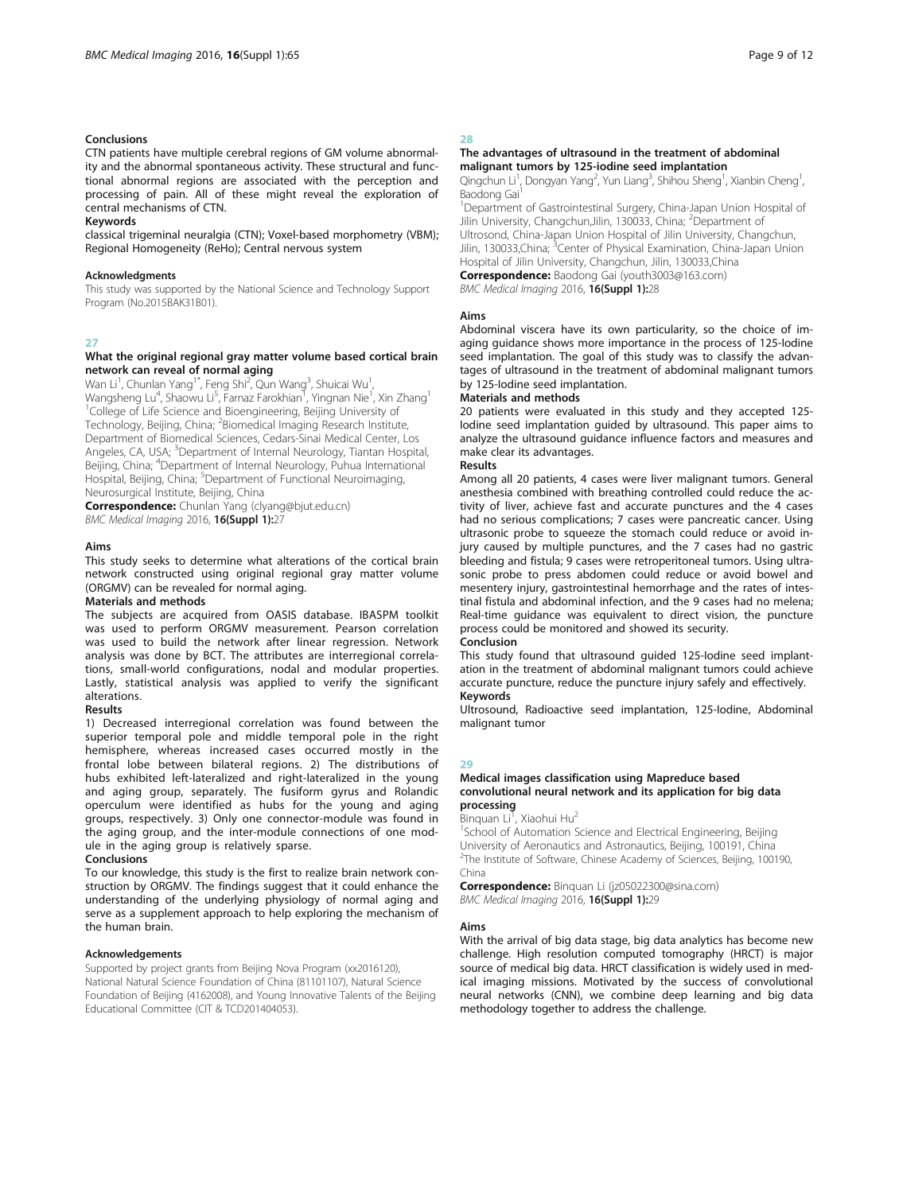# Conclusions

CTN patients have multiple cerebral regions of GM volume abnormality and the abnormal spontaneous activity. These structural and functional abnormal regions are associated with the perception and processing of pain. All of these might reveal the exploration of central mechanisms of CTN.

#### Keywords

classical trigeminal neuralgia (CTN); Voxel-based morphometry (VBM); Regional Homogeneity (ReHo); Central nervous system

### **Acknowledaments**

This study was supported by the National Science and Technology Support Program (No.2015BAK31B01).

# 27

# What the original regional gray matter volume based cortical brain network can reveal of normal aging

Wan Li<sup>1</sup>, Chunlan Yang<sup>1\*</sup>, Feng Shi<sup>2</sup>, Qun Wang<sup>3</sup>, Shuicai Wu<sup>1</sup> , Wangsheng Lu<sup>4</sup>, Shaowu Li<sup>5</sup>, Farnaz Farokhian<sup>1</sup>, Yingnan Nie<sup>1</sup>, Xin Zhang<sup>1</sup> <sup>1</sup>College of Life Science and Bioengineering, Beijing University of Technology, Beijing, China; <sup>2</sup>Biomedical Imaging Research Institute, Department of Biomedical Sciences, Cedars-Sinai Medical Center, Los Angeles, CA, USA; <sup>3</sup>Department of Internal Neurology, Tiantan Hospital, Beijing, China; <sup>4</sup>Department of Internal Neurology, Puhua International Hospital, Beijing, China; <sup>5</sup>Department of Functional Neuroimaging, Neurosurgical Institute, Beijing, China

Correspondence: Chunlan Yang (clyang@bjut.edu.cn) BMC Medical Imaging 2016, 16(Suppl 1):27

#### Aims

This study seeks to determine what alterations of the cortical brain network constructed using original regional gray matter volume (ORGMV) can be revealed for normal aging.

# Materials and methods

The subjects are acquired from OASIS database. IBASPM toolkit was used to perform ORGMV measurement. Pearson correlation was used to build the network after linear regression. Network analysis was done by BCT. The attributes are interregional correlations, small-world configurations, nodal and modular properties. Lastly, statistical analysis was applied to verify the significant alterations.

# Results

1) Decreased interregional correlation was found between the superior temporal pole and middle temporal pole in the right hemisphere, whereas increased cases occurred mostly in the frontal lobe between bilateral regions. 2) The distributions of hubs exhibited left-lateralized and right-lateralized in the young and aging group, separately. The fusiform gyrus and Rolandic operculum were identified as hubs for the young and aging groups, respectively. 3) Only one connector-module was found in the aging group, and the inter-module connections of one module in the aging group is relatively sparse.

#### Conclusions

To our knowledge, this study is the first to realize brain network construction by ORGMV. The findings suggest that it could enhance the understanding of the underlying physiology of normal aging and serve as a supplement approach to help exploring the mechanism of the human brain.

# Acknowledgements

Supported by project grants from Beijing Nova Program (xx2016120), National Natural Science Foundation of China (81101107), Natural Science Foundation of Beijing (4162008), and Young Innovative Talents of the Beijing Educational Committee (CIT & TCD201404053).

# 28

# The advantages of ultrasound in the treatment of abdominal malignant tumors by 125-iodine seed implantation

Qingchun Li<sup>1</sup>, Dongyan Yang<sup>2</sup>, Yun Liang<sup>3</sup>, Shihou Sheng<sup>1</sup>, Xianbin Cheng<sup>1</sup> , Baodong Gai

<sup>1</sup>Department of Gastrointestinal Surgery, China-Japan Union Hospital of<br>Jilin University, Changchun,Jilin, 130033, China; <sup>2</sup>Department of Ultrosond, China-Japan Union Hospital of Jilin University, Changchun, Jilin, 130033,China; <sup>3</sup>Center of Physical Examination, China-Japan Union Hospital of Jilin University, Changchun, Jilin, 130033,China Correspondence: Baodong Gai (youth3003@163.com) BMC Medical Imaging 2016, 16(Suppl 1):28

#### Aims

Abdominal viscera have its own particularity, so the choice of imaging guidance shows more importance in the process of 125-Iodine seed implantation. The goal of this study was to classify the advantages of ultrasound in the treatment of abdominal malignant tumors by 125-Iodine seed implantation.

# Materials and methods

20 patients were evaluated in this study and they accepted 125- Iodine seed implantation guided by ultrasound. This paper aims to analyze the ultrasound guidance influence factors and measures and make clear its advantages.

# Results

Among all 20 patients, 4 cases were liver malignant tumors. General anesthesia combined with breathing controlled could reduce the activity of liver, achieve fast and accurate punctures and the 4 cases had no serious complications; 7 cases were pancreatic cancer. Using ultrasonic probe to squeeze the stomach could reduce or avoid injury caused by multiple punctures, and the 7 cases had no gastric bleeding and fistula; 9 cases were retroperitoneal tumors. Using ultrasonic probe to press abdomen could reduce or avoid bowel and mesentery injury, gastrointestinal hemorrhage and the rates of intestinal fistula and abdominal infection, and the 9 cases had no melena; Real-time guidance was equivalent to direct vision, the puncture process could be monitored and showed its security.

Conclusion

This study found that ultrasound guided 125-lodine seed implantation in the treatment of abdominal malignant tumors could achieve accurate puncture, reduce the puncture injury safely and effectively. Keywords

Ultrosound, Radioactive seed implantation, 125-Iodine, Abdominal malignant tumor

#### 29

# Medical images classification using Mapreduce based convolutional neural network and its application for big data processing

**B**inquan Li<sup>T</sup>, Xiaohui Hu<sup>2</sup>

<sup>1</sup>School of Automation Science and Electrical Engineering, Beijing University of Aeronautics and Astronautics, Beijing, 100191, China <sup>2</sup>The Institute of Software, Chinese Academy of Sciences, Beijing, 100190, China

Correspondence: Binquan Li (jz05022300@sina.com) BMC Medical Imaging 2016, 16(Suppl 1):29

# Aims

With the arrival of big data stage, big data analytics has become new challenge. High resolution computed tomography (HRCT) is major source of medical big data. HRCT classification is widely used in medical imaging missions. Motivated by the success of convolutional neural networks (CNN), we combine deep learning and big data methodology together to address the challenge.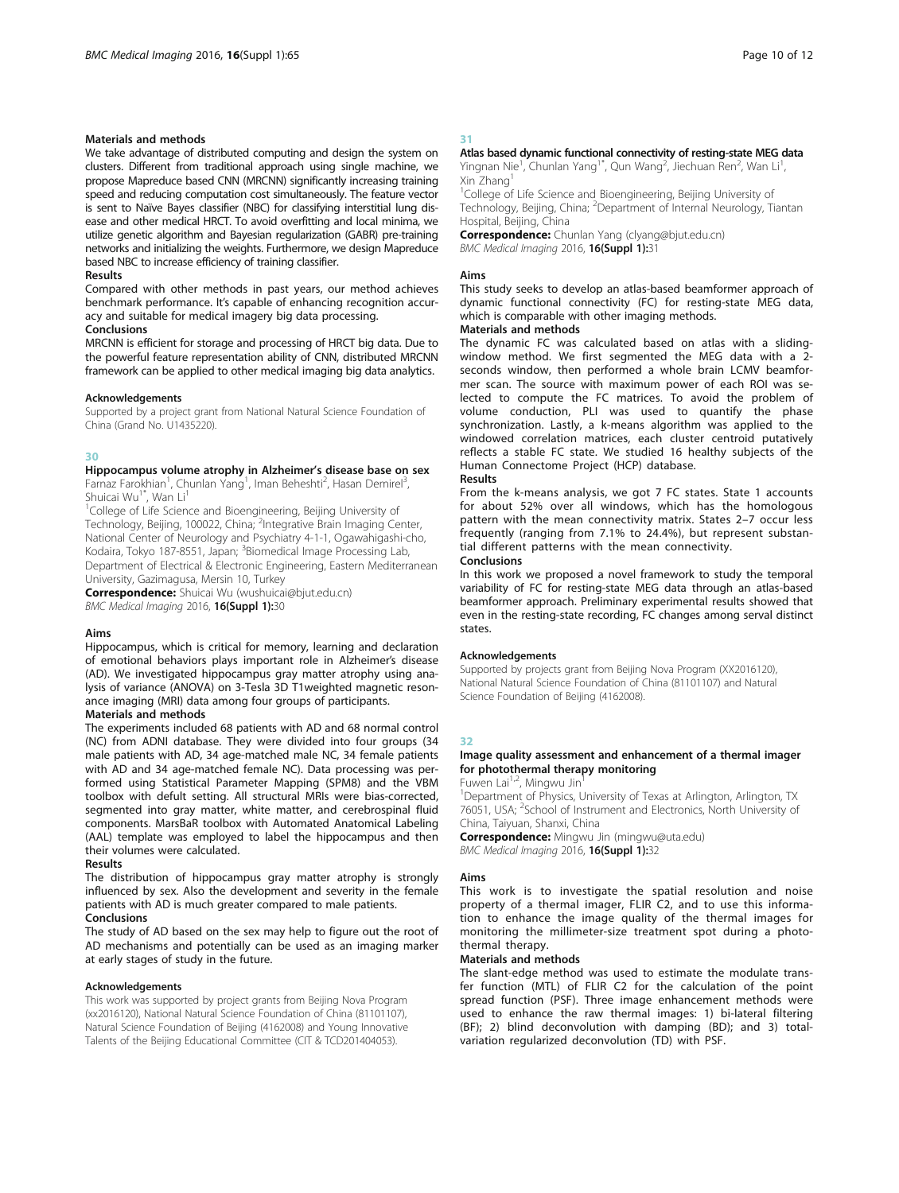# Materials and methods

We take advantage of distributed computing and design the system on clusters. Different from traditional approach using single machine, we propose Mapreduce based CNN (MRCNN) significantly increasing training speed and reducing computation cost simultaneously. The feature vector is sent to Naïve Bayes classifier (NBC) for classifying interstitial lung disease and other medical HRCT. To avoid overfitting and local minima, we utilize genetic algorithm and Bayesian regularization (GABR) pre-training networks and initializing the weights. Furthermore, we design Mapreduce based NBC to increase efficiency of training classifier.

### Results

Compared with other methods in past years, our method achieves benchmark performance. It's capable of enhancing recognition accuracy and suitable for medical imagery big data processing.

# Conclusions

MRCNN is efficient for storage and processing of HRCT big data. Due to the powerful feature representation ability of CNN, distributed MRCNN framework can be applied to other medical imaging big data analytics.

#### Acknowledgements

Supported by a project grant from National Natural Science Foundation of China (Grand No. U1435220).

#### 30

# Hippocampus volume atrophy in Alzheimer's disease base on sex

Farnaz Farokhian<sup>1</sup>, Chunlan Yang<sup>1</sup>, Iman Beheshti<sup>2</sup>, Hasan Demirel<sup>3</sup> , Shuicai Wu<sup>1\*</sup>, Wan Li<sup>1</sup>

<sup>1</sup>College of Life Science and Bioengineering, Beijing University of Technology, Beijing, 100022, China; <sup>2</sup>Integrative Brain Imaging Center, National Center of Neurology and Psychiatry 4-1-1, Ogawahigashi-cho, Kodaira, Tokyo 187-8551, Japan; <sup>3</sup>Biomedical Image Processing Lab, Department of Electrical & Electronic Engineering, Eastern Mediterranean University, Gazimagusa, Mersin 10, Turkey

Correspondence: Shuicai Wu (wushuicai@bjut.edu.cn) BMC Medical Imaging 2016, 16(Suppl 1):30

#### Aims

Hippocampus, which is critical for memory, learning and declaration of emotional behaviors plays important role in Alzheimer's disease (AD). We investigated hippocampus gray matter atrophy using analysis of variance (ANOVA) on 3-Tesla 3D T1weighted magnetic resonance imaging (MRI) data among four groups of participants.

# Materials and methods

The experiments included 68 patients with AD and 68 normal control (NC) from ADNI database. They were divided into four groups (34 male patients with AD, 34 age-matched male NC, 34 female patients with AD and 34 age-matched female NC). Data processing was performed using Statistical Parameter Mapping (SPM8) and the VBM toolbox with defult setting. All structural MRIs were bias-corrected, segmented into gray matter, white matter, and cerebrospinal fluid components. MarsBaR toolbox with Automated Anatomical Labeling (AAL) template was employed to label the hippocampus and then their volumes were calculated.

# Results

The distribution of hippocampus gray matter atrophy is strongly influenced by sex. Also the development and severity in the female patients with AD is much greater compared to male patients. Conclusions

The study of AD based on the sex may help to figure out the root of AD mechanisms and potentially can be used as an imaging marker at early stages of study in the future.

#### Acknowledgements

This work was supported by project grants from Beijing Nova Program (xx2016120), National Natural Science Foundation of China (81101107), Natural Science Foundation of Beijing (4162008) and Young Innovative Talents of the Beijing Educational Committee (CIT & TCD201404053).

# 31

#### Atlas based dynamic functional connectivity of resting-state MEG data Yingnan Nie<sup>1</sup>, Chunlan Yang<sup>1\*</sup>, Qun Wang<sup>2</sup>, Jiechuan Ren<sup>2</sup>, Wan Li<sup>1</sup> ,

Xin Zhang1 <sup>1</sup>College of Life Science and Bioengineering, Beijing University of Technology, Beijing, China; <sup>2</sup>Department of Internal Neurology, Tiantan

Hospital, Beijing, China **Correspondence:** Chunlan Yang (clyang@bjut.edu.cn)

BMC Medical Imaging 2016, 16(Suppl 1):31

#### Aims

This study seeks to develop an atlas-based beamformer approach of dynamic functional connectivity (FC) for resting-state MEG data, which is comparable with other imaging methods.

# Materials and methods

The dynamic FC was calculated based on atlas with a slidingwindow method. We first segmented the MEG data with a 2 seconds window, then performed a whole brain LCMV beamformer scan. The source with maximum power of each ROI was selected to compute the FC matrices. To avoid the problem of volume conduction, PLI was used to quantify the phase synchronization. Lastly, a k-means algorithm was applied to the windowed correlation matrices, each cluster centroid putatively reflects a stable FC state. We studied 16 healthy subjects of the Human Connectome Project (HCP) database.

# Results

From the k-means analysis, we got 7 FC states. State 1 accounts for about 52% over all windows, which has the homologous pattern with the mean connectivity matrix. States 2–7 occur less frequently (ranging from 7.1% to 24.4%), but represent substantial different patterns with the mean connectivity.

# Conclusions

In this work we proposed a novel framework to study the temporal variability of FC for resting-state MEG data through an atlas-based beamformer approach. Preliminary experimental results showed that even in the resting-state recording, FC changes among serval distinct states.

# Acknowledgements

Supported by projects grant from Beijing Nova Program (XX2016120), National Natural Science Foundation of China (81101107) and Natural Science Foundation of Beijing (4162008).

# 32

# Image quality assessment and enhancement of a thermal imager for photothermal therapy monitoring

Fuwen Lai<sup>1,2</sup>, Mingwu Jin

<sup>1</sup>Department of Physics, University of Texas at Arlington, Arlington, TX 76051, USA; <sup>2</sup>School of Instrument and Electronics, North University of China, Taiyuan, Shanxi, China

Correspondence: Mingwu Jin (mingwu@uta.edu) BMC Medical Imaging 2016, 16(Suppl 1):32

# Aims

This work is to investigate the spatial resolution and noise property of a thermal imager, FLIR C2, and to use this information to enhance the image quality of the thermal images for monitoring the millimeter-size treatment spot during a photothermal therapy.

#### Materials and methods

The slant-edge method was used to estimate the modulate transfer function (MTL) of FLIR C2 for the calculation of the point spread function (PSF). Three image enhancement methods were used to enhance the raw thermal images: 1) bi-lateral filtering (BF); 2) blind deconvolution with damping (BD); and 3) totalvariation regularized deconvolution (TD) with PSF.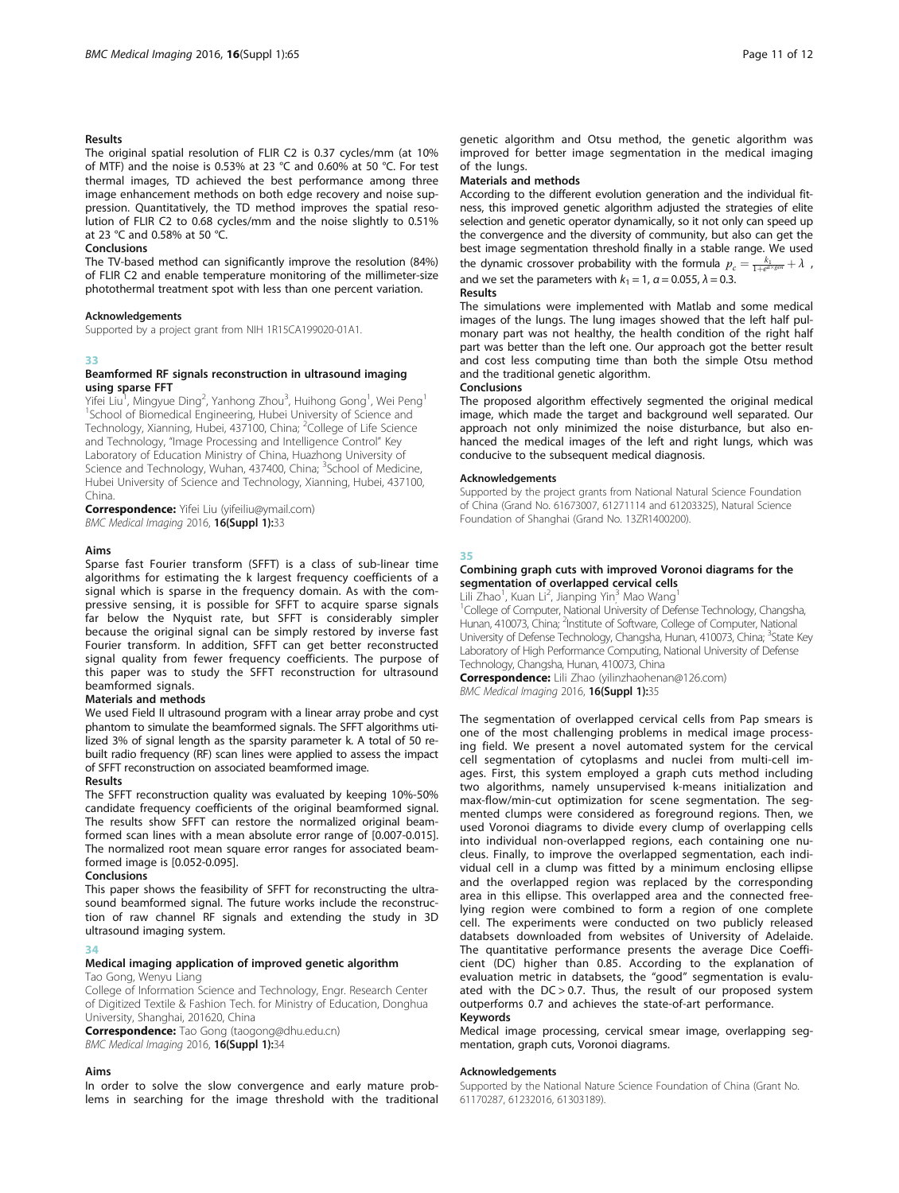# Results

The original spatial resolution of FLIR C2 is 0.37 cycles/mm (at 10% of MTF) and the noise is 0.53% at 23 °C and 0.60% at 50 °C. For test thermal images, TD achieved the best performance among three image enhancement methods on both edge recovery and noise suppression. Quantitatively, the TD method improves the spatial resolution of FLIR C2 to 0.68 cycles/mm and the noise slightly to 0.51% at 23 °C and 0.58% at 50 °C.

#### Conclusions

The TV-based method can significantly improve the resolution (84%) of FLIR C2 and enable temperature monitoring of the millimeter-size photothermal treatment spot with less than one percent variation.

#### Acknowledgements

Supported by a project grant from NIH 1R15CA199020-01A1.

#### 33

#### Beamformed RF signals reconstruction in ultrasound imaging using sparse FFT

Yifei Liu<sup>1</sup>, Mingyue Ding<sup>2</sup>, Yanhong Zhou<sup>3</sup>, Huihong Gong<sup>1</sup>, Wei Peng<sup>1</sup> <sup>1</sup>School of Biomedical Engineering, Hubei University of Science and Technology, Xianning, Hubei, 437100, China; <sup>2</sup>College of Life Science and Technology, "Image Processing and Intelligence Control" Key Laboratory of Education Ministry of China, Huazhong University of Science and Technology, Wuhan, 437400, China; <sup>3</sup>School of Medicine, Hubei University of Science and Technology, Xianning, Hubei, 437100, China.

Correspondence: Yifei Liu (yifeiliu@ymail.com) BMC Medical Imaging 2016, 16(Suppl 1):33

# Aims

Sparse fast Fourier transform (SFFT) is a class of sub-linear time algorithms for estimating the k largest frequency coefficients of a signal which is sparse in the frequency domain. As with the compressive sensing, it is possible for SFFT to acquire sparse signals far below the Nyquist rate, but SFFT is considerably simpler because the original signal can be simply restored by inverse fast Fourier transform. In addition, SFFT can get better reconstructed signal quality from fewer frequency coefficients. The purpose of this paper was to study the SFFT reconstruction for ultrasound beamformed signals.

#### Materials and methods

We used Field II ultrasound program with a linear array probe and cyst phantom to simulate the beamformed signals. The SFFT algorithms utilized 3% of signal length as the sparsity parameter k. A total of 50 rebuilt radio frequency (RF) scan lines were applied to assess the impact of SFFT reconstruction on associated beamformed image.

#### Results

The SFFT reconstruction quality was evaluated by keeping 10%-50% candidate frequency coefficients of the original beamformed signal. The results show SFFT can restore the normalized original beamformed scan lines with a mean absolute error range of [0.007-0.015]. The normalized root mean square error ranges for associated beamformed image is [0.052-0.095].

# Conclusions

This paper shows the feasibility of SFFT for reconstructing the ultrasound beamformed signal. The future works include the reconstruction of raw channel RF signals and extending the study in 3D ultrasound imaging system.

#### 34

# Medical imaging application of improved genetic algorithm

# Tao Gong, Wenyu Liang

College of Information Science and Technology, Engr. Research Center of Digitized Textile & Fashion Tech. for Ministry of Education, Donghua University, Shanghai, 201620, China

Correspondence: Tao Gong (taogong@dhu.edu.cn) BMC Medical Imaging 2016, 16(Suppl 1):34

#### Aims

In order to solve the slow convergence and early mature problems in searching for the image threshold with the traditional genetic algorithm and Otsu method, the genetic algorithm was improved for better image segmentation in the medical imaging of the lungs.

# Materials and methods

According to the different evolution generation and the individual fitness, this improved genetic algorithm adjusted the strategies of elite selection and genetic operator dynamically, so it not only can speed up the convergence and the diversity of community, but also can get the best image segmentation threshold finally in a stable range. We used the dynamic crossover probability with the formula  $p_c = \frac{k_1}{1+e^{ax} \xi^{ax}} + \lambda$ and we set the parameters with  $k_1 = 1$ ,  $\alpha = 0.055$ ,  $\lambda = 0.3$ .

# Results

The simulations were implemented with Matlab and some medical images of the lungs. The lung images showed that the left half pulmonary part was not healthy, the health condition of the right half part was better than the left one. Our approach got the better result and cost less computing time than both the simple Otsu method and the traditional genetic algorithm.

#### Conclusions

The proposed algorithm effectively segmented the original medical image, which made the target and background well separated. Our approach not only minimized the noise disturbance, but also enhanced the medical images of the left and right lungs, which was conducive to the subsequent medical diagnosis.

# Acknowledgements

Supported by the project grants from National Natural Science Foundation of China (Grand No. 61673007, 61271114 and 61203325), Natural Science Foundation of Shanghai (Grand No. 13ZR1400200).

# 35

# Combining graph cuts with improved Voronoi diagrams for the segmentation of overlapped cervical cells

Lili Zhao<sup>1</sup>, Kuan Li<sup>2</sup>, Jianping Yin<sup>3</sup> Mao Wang<sup>1</sup>

<sup>1</sup>College of Computer, National University of Defense Technology, Changsha Hunan, 410073, China; <sup>2</sup>Institute of Software, College of Computer, National University of Defense Technology, Changsha, Hunan, 410073, China, <sup>3</sup>State Key Laboratory of High Performance Computing, National University of Defense Technology, Changsha, Hunan, 410073, China

Correspondence: Lili Zhao (yilinzhaohenan@126.com) BMC Medical Imaging 2016, 16(Suppl 1):35

The segmentation of overlapped cervical cells from Pap smears is one of the most challenging problems in medical image processing field. We present a novel automated system for the cervical cell segmentation of cytoplasms and nuclei from multi-cell images. First, this system employed a graph cuts method including two algorithms, namely unsupervised k-means initialization and max-flow/min-cut optimization for scene segmentation. The segmented clumps were considered as foreground regions. Then, we used Voronoi diagrams to divide every clump of overlapping cells into individual non-overlapped regions, each containing one nucleus. Finally, to improve the overlapped segmentation, each individual cell in a clump was fitted by a minimum enclosing ellipse and the overlapped region was replaced by the corresponding area in this ellipse. This overlapped area and the connected freelying region were combined to form a region of one complete cell. The experiments were conducted on two publicly released databsets downloaded from websites of University of Adelaide. The quantitative performance presents the average Dice Coefficient (DC) higher than 0.85. According to the explanation of evaluation metric in databsets, the "good" segmentation is evaluated with the DC > 0.7. Thus, the result of our proposed system outperforms 0.7 and achieves the state-of-art performance. Keywords

# Medical image processing, cervical smear image, overlapping segmentation, graph cuts, Voronoi diagrams.

#### Acknowledgements

Supported by the National Nature Science Foundation of China (Grant No. 61170287, 61232016, 61303189).